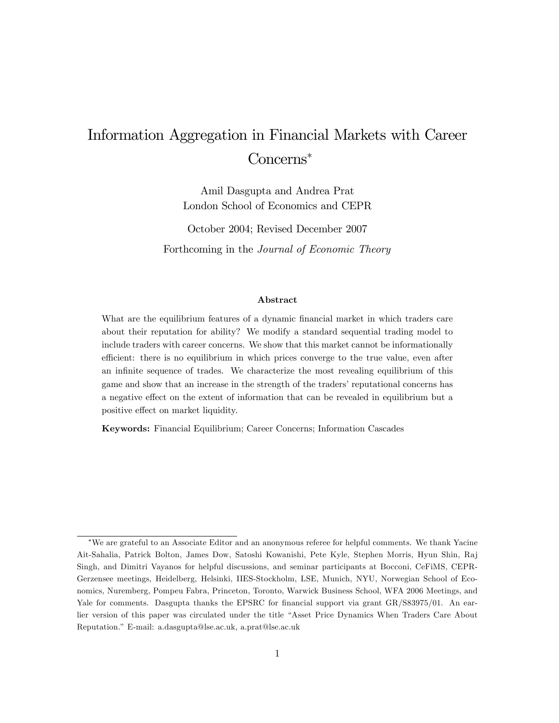# Information Aggregation in Financial Markets with Career Concerns

Amil Dasgupta and Andrea Prat London School of Economics and CEPR

October 2004; Revised December 2007 Forthcoming in the Journal of Economic Theory

#### Abstract

What are the equilibrium features of a dynamic financial market in which traders care about their reputation for ability? We modify a standard sequential trading model to include traders with career concerns. We show that this market cannot be informationally efficient: there is no equilibrium in which prices converge to the true value, even after an infinite sequence of trades. We characterize the most revealing equilibrium of this game and show that an increase in the strength of the traders' reputational concerns has a negative effect on the extent of information that can be revealed in equilibrium but a positive effect on market liquidity.

Keywords: Financial Equilibrium; Career Concerns; Information Cascades

We are grateful to an Associate Editor and an anonymous referee for helpful comments. We thank Yacine Ait-Sahalia, Patrick Bolton, James Dow, Satoshi Kowanishi, Pete Kyle, Stephen Morris, Hyun Shin, Raj Singh, and Dimitri Vayanos for helpful discussions, and seminar participants at Bocconi, CeFiMS, CEPR-Gerzensee meetings, Heidelberg, Helsinki, IIES-Stockholm, LSE, Munich, NYU, Norwegian School of Economics, Nuremberg, Pompeu Fabra, Princeton, Toronto, Warwick Business School, WFA 2006 Meetings, and Yale for comments. Dasgupta thanks the EPSRC for financial support via grant GR/S83975/01. An earlier version of this paper was circulated under the title "Asset Price Dynamics When Traders Care About Reputation.îE-mail: a.dasgupta@lse.ac.uk, a.prat@lse.ac.uk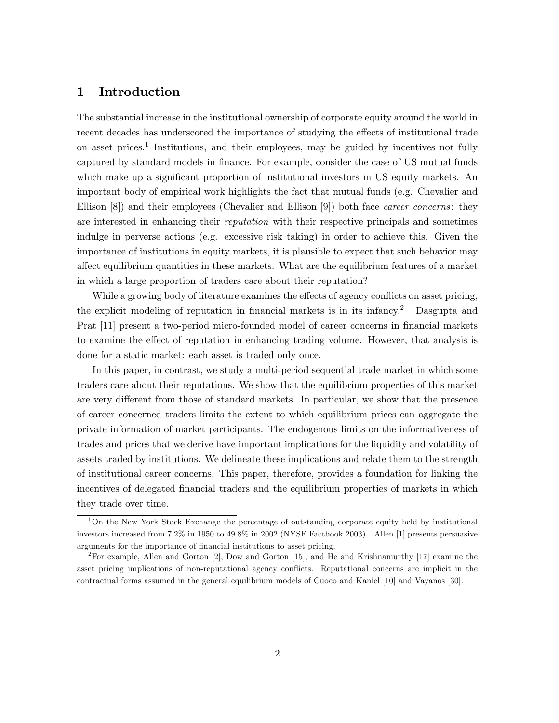# 1 Introduction

The substantial increase in the institutional ownership of corporate equity around the world in recent decades has underscored the importance of studying the effects of institutional trade on asset prices.<sup>1</sup> Institutions, and their employees, may be guided by incentives not fully captured by standard models in finance. For example, consider the case of US mutual funds which make up a significant proportion of institutional investors in US equity markets. An important body of empirical work highlights the fact that mutual funds (e.g. Chevalier and Ellison [8]) and their employees (Chevalier and Ellison [9]) both face career concerns: they are interested in enhancing their reputation with their respective principals and sometimes indulge in perverse actions (e.g. excessive risk taking) in order to achieve this. Given the importance of institutions in equity markets, it is plausible to expect that such behavior may affect equilibrium quantities in these markets. What are the equilibrium features of a market in which a large proportion of traders care about their reputation?

While a growing body of literature examines the effects of agency conflicts on asset pricing, the explicit modeling of reputation in financial markets is in its infancy.<sup>2</sup> Dasgupta and Prat [11] present a two-period micro-founded model of career concerns in financial markets to examine the effect of reputation in enhancing trading volume. However, that analysis is done for a static market: each asset is traded only once.

In this paper, in contrast, we study a multi-period sequential trade market in which some traders care about their reputations. We show that the equilibrium properties of this market are very different from those of standard markets. In particular, we show that the presence of career concerned traders limits the extent to which equilibrium prices can aggregate the private information of market participants. The endogenous limits on the informativeness of trades and prices that we derive have important implications for the liquidity and volatility of assets traded by institutions. We delineate these implications and relate them to the strength of institutional career concerns. This paper, therefore, provides a foundation for linking the incentives of delegated Önancial traders and the equilibrium properties of markets in which they trade over time.

 $1$ On the New York Stock Exchange the percentage of outstanding corporate equity held by institutional investors increased from 7.2% in 1950 to 49.8% in 2002 (NYSE Factbook 2003). Allen [1] presents persuasive arguments for the importance of financial institutions to asset pricing.

<sup>2</sup>For example, Allen and Gorton [2], Dow and Gorton [15], and He and Krishnamurthy [17] examine the asset pricing implications of non-reputational agency conflicts. Reputational concerns are implicit in the contractual forms assumed in the general equilibrium models of Cuoco and Kaniel [10] and Vayanos [30].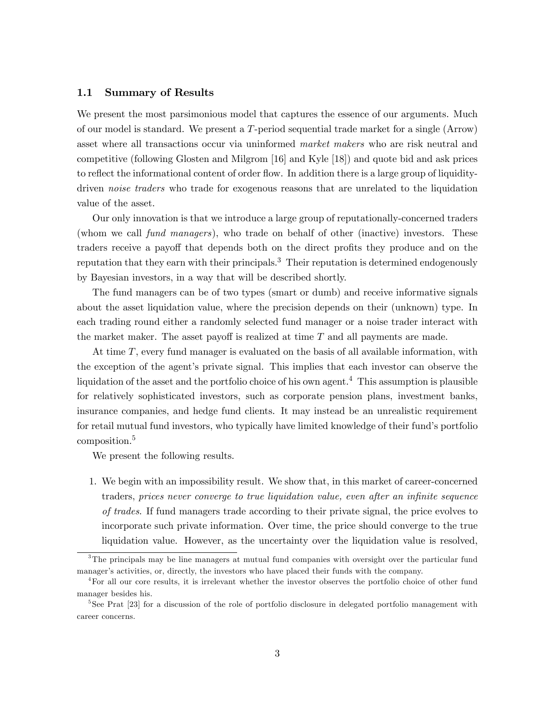#### 1.1 Summary of Results

We present the most parsimonious model that captures the essence of our arguments. Much of our model is standard. We present a  $T$ -period sequential trade market for a single (Arrow) asset where all transactions occur via uninformed market makers who are risk neutral and competitive (following Glosten and Milgrom [16] and Kyle [18]) and quote bid and ask prices to reflect the informational content of order flow. In addition there is a large group of liquiditydriven *noise traders* who trade for exogenous reasons that are unrelated to the liquidation value of the asset.

Our only innovation is that we introduce a large group of reputationally-concerned traders (whom we call fund managers), who trade on behalf of other (inactive) investors. These traders receive a payoff that depends both on the direct profits they produce and on the reputation that they earn with their principals.<sup>3</sup> Their reputation is determined endogenously by Bayesian investors, in a way that will be described shortly.

The fund managers can be of two types (smart or dumb) and receive informative signals about the asset liquidation value, where the precision depends on their (unknown) type. In each trading round either a randomly selected fund manager or a noise trader interact with the market maker. The asset payoff is realized at time  $T$  and all payments are made.

At time  $T$ , every fund manager is evaluated on the basis of all available information, with the exception of the agent's private signal. This implies that each investor can observe the liquidation of the asset and the portfolio choice of his own agent.<sup>4</sup> This assumption is plausible for relatively sophisticated investors, such as corporate pension plans, investment banks, insurance companies, and hedge fund clients. It may instead be an unrealistic requirement for retail mutual fund investors, who typically have limited knowledge of their fund's portfolio composition.<sup>5</sup>

We present the following results.

1. We begin with an impossibility result. We show that, in this market of career-concerned traders, prices never converge to true liquidation value, even after an infinite sequence of trades. If fund managers trade according to their private signal, the price evolves to incorporate such private information. Over time, the price should converge to the true liquidation value. However, as the uncertainty over the liquidation value is resolved,

<sup>&</sup>lt;sup>3</sup>The principals may be line managers at mutual fund companies with oversight over the particular fund manager's activities, or, directly, the investors who have placed their funds with the company.

<sup>4</sup>For all our core results, it is irrelevant whether the investor observes the portfolio choice of other fund manager besides his.

<sup>&</sup>lt;sup>5</sup>See Prat [23] for a discussion of the role of portfolio disclosure in delegated portfolio management with career concerns.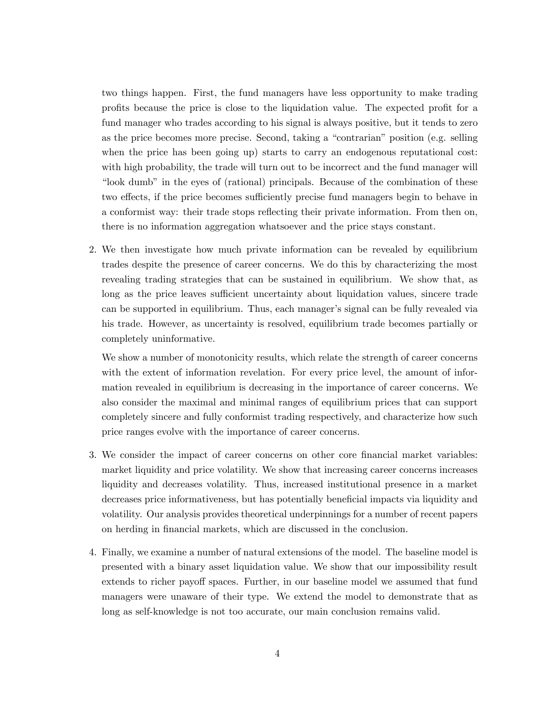two things happen. First, the fund managers have less opportunity to make trading profits because the price is close to the liquidation value. The expected profit for a fund manager who trades according to his signal is always positive, but it tends to zero as the price becomes more precise. Second, taking a "contrarian" position (e.g. selling when the price has been going up) starts to carry an endogenous reputational cost: with high probability, the trade will turn out to be incorrect and the fund manager will ìlook dumbî in the eyes of (rational) principals. Because of the combination of these two effects, if the price becomes sufficiently precise fund managers begin to behave in a conformist way: their trade stops reflecting their private information. From then on, there is no information aggregation whatsoever and the price stays constant.

2. We then investigate how much private information can be revealed by equilibrium trades despite the presence of career concerns. We do this by characterizing the most revealing trading strategies that can be sustained in equilibrium. We show that, as long as the price leaves sufficient uncertainty about liquidation values, sincere trade can be supported in equilibrium. Thus, each manager's signal can be fully revealed via his trade. However, as uncertainty is resolved, equilibrium trade becomes partially or completely uninformative.

We show a number of monotonicity results, which relate the strength of career concerns with the extent of information revelation. For every price level, the amount of information revealed in equilibrium is decreasing in the importance of career concerns. We also consider the maximal and minimal ranges of equilibrium prices that can support completely sincere and fully conformist trading respectively, and characterize how such price ranges evolve with the importance of career concerns.

- 3. We consider the impact of career concerns on other core financial market variables: market liquidity and price volatility. We show that increasing career concerns increases liquidity and decreases volatility. Thus, increased institutional presence in a market decreases price informativeness, but has potentially beneficial impacts via liquidity and volatility. Our analysis provides theoretical underpinnings for a number of recent papers on herding in financial markets, which are discussed in the conclusion.
- 4. Finally, we examine a number of natural extensions of the model. The baseline model is presented with a binary asset liquidation value. We show that our impossibility result extends to richer payoff spaces. Further, in our baseline model we assumed that fund managers were unaware of their type. We extend the model to demonstrate that as long as self-knowledge is not too accurate, our main conclusion remains valid.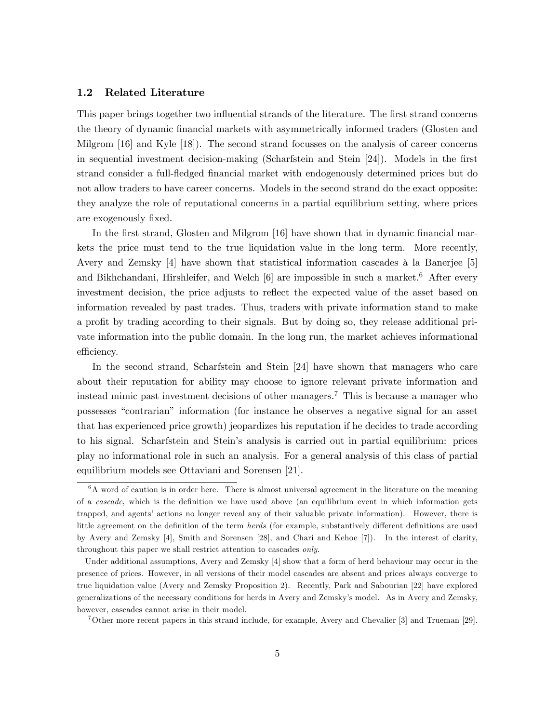#### 1.2 Related Literature

This paper brings together two influential strands of the literature. The first strand concerns the theory of dynamic Önancial markets with asymmetrically informed traders (Glosten and Milgrom [16] and Kyle [18]). The second strand focusses on the analysis of career concerns in sequential investment decision-making (Scharfstein and Stein [24]). Models in the first strand consider a full-fledged financial market with endogenously determined prices but do not allow traders to have career concerns. Models in the second strand do the exact opposite: they analyze the role of reputational concerns in a partial equilibrium setting, where prices are exogenously fixed.

In the first strand, Glosten and Milgrom [16] have shown that in dynamic financial markets the price must tend to the true liquidation value in the long term. More recently, Avery and Zemsky  $[4]$  have shown that statistical information cascades à la Banerjee [5] and Bikhchandani, Hirshleifer, and Welch  $[6]$  are impossible in such a market.<sup>6</sup> After every investment decision, the price adjusts to reflect the expected value of the asset based on information revealed by past trades. Thus, traders with private information stand to make a profit by trading according to their signals. But by doing so, they release additional private information into the public domain. In the long run, the market achieves informational efficiency.

In the second strand, Scharfstein and Stein [24] have shown that managers who care about their reputation for ability may choose to ignore relevant private information and instead mimic past investment decisions of other managers.<sup>7</sup> This is because a manager who possesses ìcontrarianî information (for instance he observes a negative signal for an asset that has experienced price growth) jeopardizes his reputation if he decides to trade according to his signal. Scharfstein and Steinís analysis is carried out in partial equilibrium: prices play no informational role in such an analysis. For a general analysis of this class of partial equilibrium models see Ottaviani and Sorensen [21].

<sup>7</sup>Other more recent papers in this strand include, for example, Avery and Chevalier [3] and Trueman [29].

 $6A$  word of caution is in order here. There is almost universal agreement in the literature on the meaning of a *cascade*, which is the definition we have used above (an equilibrium event in which information gets trapped, and agentsí actions no longer reveal any of their valuable private information). However, there is little agreement on the definition of the term herds (for example, substantively different definitions are used by Avery and Zemsky [4], Smith and Sorensen [28], and Chari and Kehoe [7]). In the interest of clarity, throughout this paper we shall restrict attention to cascades only.

Under additional assumptions, Avery and Zemsky [4] show that a form of herd behaviour may occur in the presence of prices. However, in all versions of their model cascades are absent and prices always converge to true liquidation value (Avery and Zemsky Proposition 2). Recently, Park and Sabourian [22] have explored generalizations of the necessary conditions for herds in Avery and Zemskyís model. As in Avery and Zemsky, however, cascades cannot arise in their model.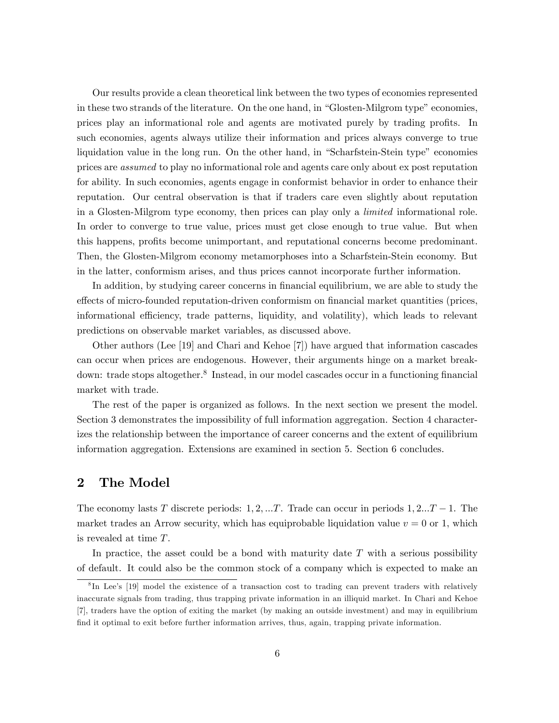Our results provide a clean theoretical link between the two types of economies represented in these two strands of the literature. On the one hand, in "Glosten-Milgrom type" economies, prices play an informational role and agents are motivated purely by trading profits. In such economies, agents always utilize their information and prices always converge to true liquidation value in the long run. On the other hand, in "Scharfstein-Stein type" economies prices are assumed to play no informational role and agents care only about ex post reputation for ability. In such economies, agents engage in conformist behavior in order to enhance their reputation. Our central observation is that if traders care even slightly about reputation in a Glosten-Milgrom type economy, then prices can play only a limited informational role. In order to converge to true value, prices must get close enough to true value. But when this happens, profits become unimportant, and reputational concerns become predominant. Then, the Glosten-Milgrom economy metamorphoses into a Scharfstein-Stein economy. But in the latter, conformism arises, and thus prices cannot incorporate further information.

In addition, by studying career concerns in financial equilibrium, we are able to study the effects of micro-founded reputation-driven conformism on financial market quantities (prices, informational efficiency, trade patterns, liquidity, and volatility), which leads to relevant predictions on observable market variables, as discussed above.

Other authors (Lee [19] and Chari and Kehoe [7]) have argued that information cascades can occur when prices are endogenous. However, their arguments hinge on a market breakdown: trade stops altogether.<sup>8</sup> Instead, in our model cascades occur in a functioning financial market with trade.

The rest of the paper is organized as follows. In the next section we present the model. Section 3 demonstrates the impossibility of full information aggregation. Section 4 characterizes the relationship between the importance of career concerns and the extent of equilibrium information aggregation. Extensions are examined in section 5. Section 6 concludes.

## 2 The Model

The economy lasts T discrete periods:  $1, 2, \ldots T$ . Trade can occur in periods  $1, 2 \ldots T - 1$ . The market trades an Arrow security, which has equiprobable liquidation value  $v = 0$  or 1, which is revealed at time T.

In practice, the asset could be a bond with maturity date  $T$  with a serious possibility of default. It could also be the common stock of a company which is expected to make an

<sup>&</sup>lt;sup>8</sup>In Lee's [19] model the existence of a transaction cost to trading can prevent traders with relatively inaccurate signals from trading, thus trapping private information in an illiquid market. In Chari and Kehoe [7], traders have the option of exiting the market (by making an outside investment) and may in equilibrium find it optimal to exit before further information arrives, thus, again, trapping private information.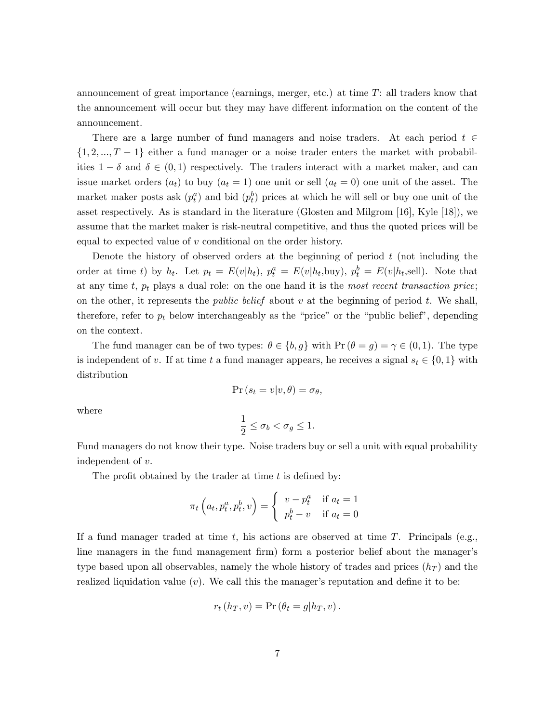announcement of great importance (earnings, merger, etc.) at time T: all traders know that the announcement will occur but they may have different information on the content of the announcement.

There are a large number of fund managers and noise traders. At each period  $t \in$  $\{1, 2, ..., T - 1\}$  either a fund manager or a noise trader enters the market with probabilities  $1 - \delta$  and  $\delta \in (0, 1)$  respectively. The traders interact with a market maker, and can issue market orders  $(a_t)$  to buy  $(a_t = 1)$  one unit or sell  $(a_t = 0)$  one unit of the asset. The market maker posts ask  $(p_t^a)$  and bid  $(p_t^b)$  prices at which he will sell or buy one unit of the asset respectively. As is standard in the literature (Glosten and Milgrom [16], Kyle [18]), we assume that the market maker is risk-neutral competitive, and thus the quoted prices will be equal to expected value of v conditional on the order history.

Denote the history of observed orders at the beginning of period  $t$  (not including the order at time t) by  $h_t$ . Let  $p_t = E(v|h_t)$ ,  $p_t^a = E(v|h_t, \text{buy})$ ,  $p_t^b = E(v|h_t, \text{sell})$ . Note that at any time  $t$ ,  $p_t$  plays a dual role: on the one hand it is the most recent transaction price; on the other, it represents the *public belief* about  $v$  at the beginning of period  $t$ . We shall, therefore, refer to  $p_t$  below interchangeably as the "price" or the "public belief", depending on the context.

The fund manager can be of two types:  $\theta \in \{b, g\}$  with  $\Pr(\theta = g) = \gamma \in (0, 1)$ . The type is independent of v. If at time t a fund manager appears, he receives a signal  $s_t \in \{0, 1\}$  with distribution

$$
\Pr\left(s_t = v | v, \theta\right) = \sigma_{\theta},
$$

where

$$
\frac{1}{2}\leq \sigma_b<\sigma_g\leq 1.
$$

Fund managers do not know their type. Noise traders buy or sell a unit with equal probability independent of v.

The profit obtained by the trader at time  $t$  is defined by:

$$
\pi_t\left(a_t, p_t^a, p_t^b, v\right) = \begin{cases} v - p_t^a & \text{if } a_t = 1\\ p_t^b - v & \text{if } a_t = 0 \end{cases}
$$

If a fund manager traded at time t, his actions are observed at time  $T$ . Principals (e.g., line managers in the fund management firm) form a posterior belief about the manager's type based upon all observables, namely the whole history of trades and prices  $(h_T)$  and the realized liquidation value  $(v)$ . We call this the manager's reputation and define it to be:

$$
r_t(h_T, v) = \Pr(\theta_t = g | h_T, v).
$$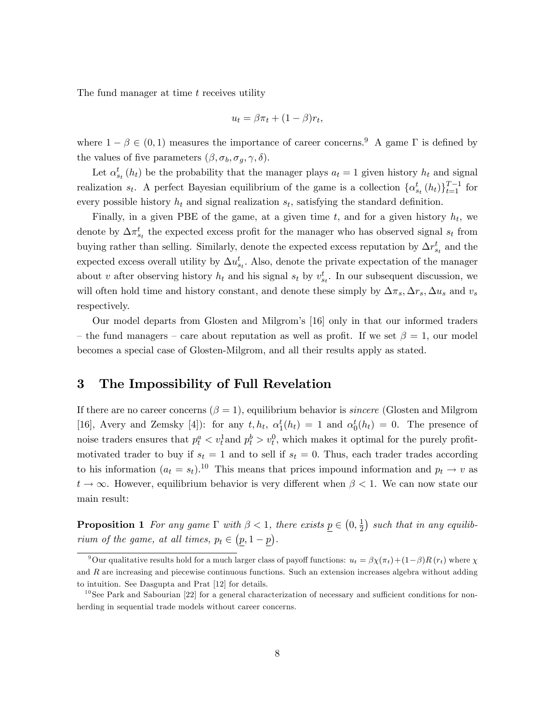The fund manager at time t receives utility

$$
u_t = \beta \pi_t + (1 - \beta) r_t,
$$

where  $1 - \beta \in (0, 1)$  measures the importance of career concerns.<sup>9</sup> A game  $\Gamma$  is defined by the values of five parameters  $(\beta, \sigma_b, \sigma_g, \gamma, \delta)$ .

Let  $\alpha_{s_t}^t(h_t)$  be the probability that the manager plays  $a_t = 1$  given history  $h_t$  and signal realization  $s_t$ . A perfect Bayesian equilibrium of the game is a collection  $\{\alpha_{s_t}^t(h_t)\}_{t=1}^{T-1}$  for every possible history  $h_t$  and signal realization  $s_t$ , satisfying the standard definition.

Finally, in a given PBE of the game, at a given time  $t$ , and for a given history  $h_t$ , we denote by  $\Delta \pi_{s_t}^t$  the expected excess profit for the manager who has observed signal  $s_t$  from buying rather than selling. Similarly, denote the expected excess reputation by  $\Delta r_{s_t}^t$  and the expected excess overall utility by  $\Delta u_{s_t}^t$ . Also, denote the private expectation of the manager about v after observing history  $h_t$  and his signal  $s_t$  by  $v_{s_t}^t$ . In our subsequent discussion, we will often hold time and history constant, and denote these simply by  $\Delta \pi_s$ ,  $\Delta v_s$ ,  $\Delta u_s$  and  $v_s$ respectively.

Our model departs from Glosten and Milgrom's [16] only in that our informed traders – the fund managers – care about reputation as well as profit. If we set  $\beta = 1$ , our model becomes a special case of Glosten-Milgrom, and all their results apply as stated.

# 3 The Impossibility of Full Revelation

If there are no career concerns  $(\beta = 1)$ , equilibrium behavior is *sincere* (Glosten and Milgrom [16], Avery and Zemsky [4]): for any  $t, h_t, \alpha_1^t(h_t) = 1$  and  $\alpha_0^t(h_t) = 0$ . The presence of noise traders ensures that  $p_t^a < v_t^1$  and  $p_t^b > v_t^0$ , which makes it optimal for the purely profitmotivated trader to buy if  $s_t = 1$  and to sell if  $s_t = 0$ . Thus, each trader trades according to his information  $(a_t = s_t)$ .<sup>10</sup> This means that prices impound information and  $p_t \to v$  as  $t \to \infty$ . However, equilibrium behavior is very different when  $\beta < 1$ . We can now state our main result:

**Proposition 1** For any game  $\Gamma$  with  $\beta < 1$ , there exists  $\underline{p} \in (0, \frac{1}{2})$  $\frac{1}{2}$ ) such that in any equilibrium of the game, at all times,  $p_t \in (\underline{p}, 1 - \underline{p})$ .

<sup>&</sup>lt;sup>9</sup>Our qualitative results hold for a much larger class of payoff functions:  $u_t = \beta \chi(\pi_t) + (1-\beta)R(r_t)$  where  $\chi$ and  $R$  are increasing and piecewise continuous functions. Such an extension increases algebra without adding to intuition. See Dasgupta and Prat [12] for details.

 $10$  See Park and Sabourian [22] for a general characterization of necessary and sufficient conditions for nonherding in sequential trade models without career concerns.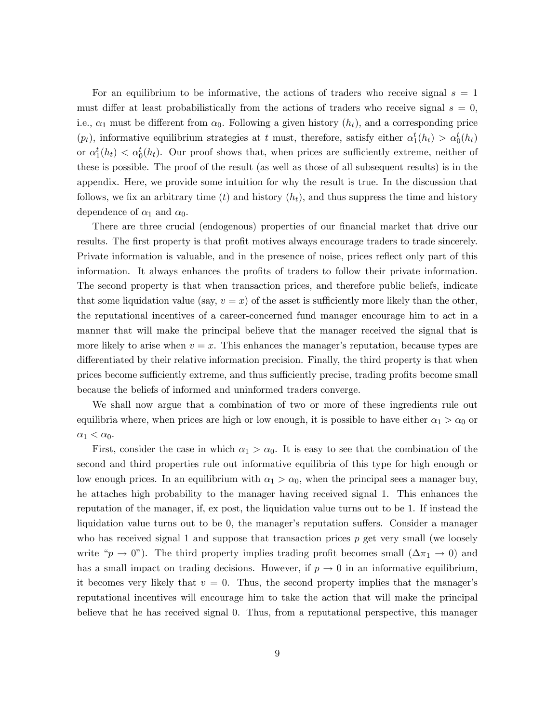For an equilibrium to be informative, the actions of traders who receive signal  $s = 1$ must differ at least probabilistically from the actions of traders who receive signal  $s = 0$ , i.e.,  $\alpha_1$  must be different from  $\alpha_0$ . Following a given history  $(h_t)$ , and a corresponding price  $(p_t)$ , informative equilibrium strategies at t must, therefore, satisfy either  $\alpha_1^t(h_t) > \alpha_0^t(h_t)$ or  $\alpha_1^t(h_t) < \alpha_0^t(h_t)$ . Our proof shows that, when prices are sufficiently extreme, neither of these is possible. The proof of the result (as well as those of all subsequent results) is in the appendix. Here, we provide some intuition for why the result is true. In the discussion that follows, we fix an arbitrary time  $(t)$  and history  $(h_t)$ , and thus suppress the time and history dependence of  $\alpha_1$  and  $\alpha_0$ .

There are three crucial (endogenous) properties of our financial market that drive our results. The first property is that profit motives always encourage traders to trade sincerely. Private information is valuable, and in the presence of noise, prices reflect only part of this information. It always enhances the profits of traders to follow their private information. The second property is that when transaction prices, and therefore public beliefs, indicate that some liquidation value (say,  $v = x$ ) of the asset is sufficiently more likely than the other, the reputational incentives of a career-concerned fund manager encourage him to act in a manner that will make the principal believe that the manager received the signal that is more likely to arise when  $v = x$ . This enhances the manager's reputation, because types are differentiated by their relative information precision. Finally, the third property is that when prices become sufficiently extreme, and thus sufficiently precise, trading profits become small because the beliefs of informed and uninformed traders converge.

We shall now argue that a combination of two or more of these ingredients rule out equilibria where, when prices are high or low enough, it is possible to have either  $\alpha_1 > \alpha_0$  or  $\alpha_1 < \alpha_0$ .

First, consider the case in which  $\alpha_1 > \alpha_0$ . It is easy to see that the combination of the second and third properties rule out informative equilibria of this type for high enough or low enough prices. In an equilibrium with  $\alpha_1 > \alpha_0$ , when the principal sees a manager buy, he attaches high probability to the manager having received signal 1. This enhances the reputation of the manager, if, ex post, the liquidation value turns out to be 1. If instead the liquidation value turns out to be 0, the manager's reputation suffers. Consider a manager who has received signal 1 and suppose that transaction prices  $p$  get very small (we loosely write " $p \to 0$ "). The third property implies trading profit becomes small  $(\Delta \pi_1 \to 0)$  and has a small impact on trading decisions. However, if  $p \to 0$  in an informative equilibrium. it becomes very likely that  $v = 0$ . Thus, the second property implies that the manager's reputational incentives will encourage him to take the action that will make the principal believe that he has received signal 0. Thus, from a reputational perspective, this manager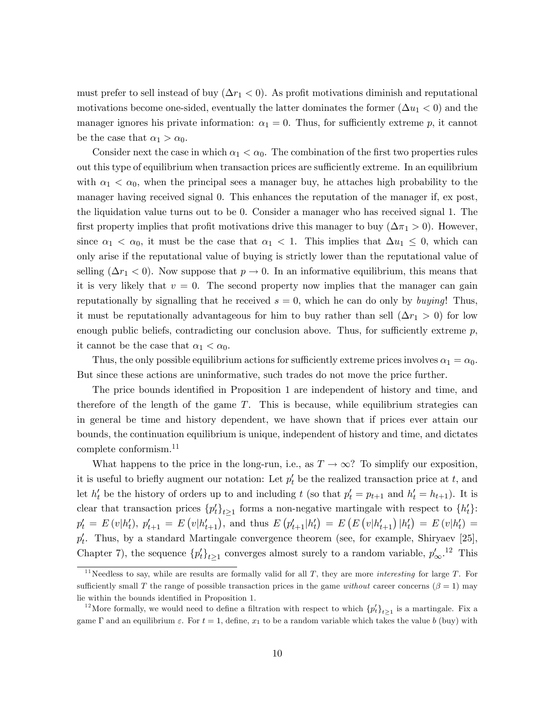must prefer to sell instead of buy  $(\Delta r_1 < 0)$ . As profit motivations diminish and reputational motivations become one-sided, eventually the latter dominates the former  $(\Delta u_1 < 0)$  and the manager ignores his private information:  $\alpha_1 = 0$ . Thus, for sufficiently extreme p, it cannot be the case that  $\alpha_1 > \alpha_0$ .

Consider next the case in which  $\alpha_1 < \alpha_0$ . The combination of the first two properties rules out this type of equilibrium when transaction prices are sufficiently extreme. In an equilibrium with  $\alpha_1 < \alpha_0$ , when the principal sees a manager buy, he attaches high probability to the manager having received signal 0. This enhances the reputation of the manager if, ex post, the liquidation value turns out to be 0. Consider a manager who has received signal 1. The first property implies that profit motivations drive this manager to buy ( $\Delta \pi_1 > 0$ ). However, since  $\alpha_1 < \alpha_0$ , it must be the case that  $\alpha_1 < 1$ . This implies that  $\Delta u_1 \leq 0$ , which can only arise if the reputational value of buying is strictly lower than the reputational value of selling  $(\Delta r_1 < 0)$ . Now suppose that  $p \to 0$ . In an informative equilibrium, this means that it is very likely that  $v = 0$ . The second property now implies that the manager can gain reputationally by signalling that he received  $s = 0$ , which he can do only by buying! Thus, it must be reputationally advantageous for him to buy rather than sell  $(\Delta r_1 > 0)$  for low enough public beliefs, contradicting our conclusion above. Thus, for sufficiently extreme  $p$ , it cannot be the case that  $\alpha_1 < \alpha_0$ .

Thus, the only possible equilibrium actions for sufficiently extreme prices involves  $\alpha_1 = \alpha_0$ . But since these actions are uninformative, such trades do not move the price further.

The price bounds identified in Proposition 1 are independent of history and time, and therefore of the length of the game  $T$ . This is because, while equilibrium strategies can in general be time and history dependent, we have shown that if prices ever attain our bounds, the continuation equilibrium is unique, independent of history and time, and dictates complete conformism.<sup>11</sup>

What happens to the price in the long-run, i.e., as  $T \to \infty$ ? To simplify our exposition, it is useful to briefly augment our notation: Let  $p'_t$  be the realized transaction price at t, and let  $h'_t$  be the history of orders up to and including t (so that  $p'_t = p_{t+1}$  and  $h'_t = h_{t+1}$ ). It is clear that transaction prices  ${p'_t}_{t\geq 1}$  forms a non-negative martingale with respect to  ${h'_t}$ :  $p'_{t} = E(v|h'_{t}), p'_{t+1} = E(v|h'_{t+1}),$  and thus  $E(p'_{t+1}|h'_{t}) = E(E(v|h'_{t+1})|h'_{t}) = E(v|h'_{t})$  $p'_t$ . Thus, by a standard Martingale convergence theorem (see, for example, Shiryaev [25], Chapter 7), the sequence  ${p'_t}_{t\geq 1}$  converges almost surely to a random variable,  $p'_\infty$ .<sup>12</sup> This

<sup>&</sup>lt;sup>11</sup> Needless to say, while are results are formally valid for all T, they are more *interesting* for large T. For sufficiently small T the range of possible transaction prices in the game without career concerns  $(\beta = 1)$  may lie within the bounds identified in Proposition 1.

<sup>&</sup>lt;sup>12</sup>More formally, we would need to define a filtration with respect to which  ${p'_t}_{t\geq 1}$  is a martingale. Fix a game  $\Gamma$  and an equilibrium  $\varepsilon$ . For  $t = 1$ , define,  $x_1$  to be a random variable which takes the value b (buy) with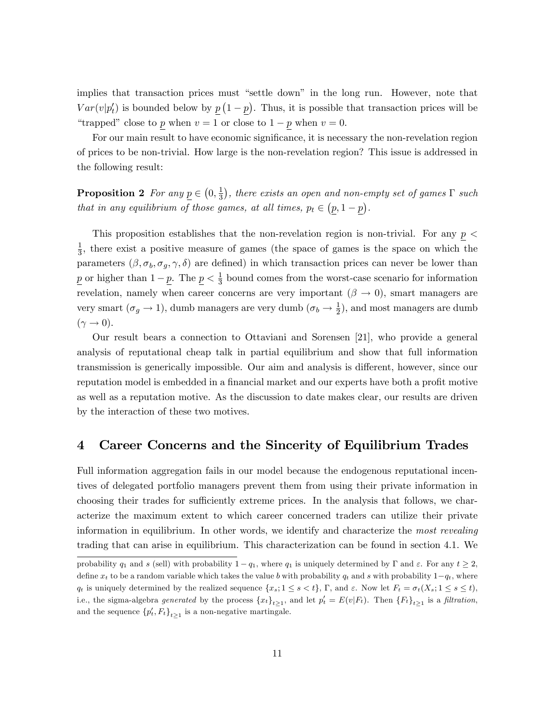implies that transaction prices must "settle down" in the long run. However, note that  $Var(v|p'_t)$  is bounded below by  $\underline{p}(1-\underline{p})$ . Thus, it is possible that transaction prices will be "trapped" close to p when  $v = 1$  or close to  $1 - p$  when  $v = 0$ .

For our main result to have economic significance, it is necessary the non-revelation region of prices to be non-trivial. How large is the non-revelation region? This issue is addressed in the following result:

Proposition 2 For any  $\underline{p} \in \left(0, \frac{1}{3}\right)$  $\frac{1}{3}$ , there exists an open and non-empty set of games  $\Gamma$  such that in any equilibrium of those games, at all times,  $p_t \in (p, 1 - p)$ .

This proposition establishes that the non-revelation region is non-trivial. For any  $p <$ 1  $\frac{1}{3}$ , there exist a positive measure of games (the space of games is the space on which the parameters  $(\beta, \sigma_b, \sigma_g, \gamma, \delta)$  are defined) in which transaction prices can never be lower than  $\underline{p}$  or higher than  $1-\underline{p}$ . The  $\underline{p} < \frac{1}{3}$  $\frac{1}{3}$  bound comes from the worst-case scenario for information revelation, namely when career concerns are very important  $(\beta \to 0)$ , smart managers are very smart  $(\sigma_g \to 1)$ , dumb managers are very dumb  $(\sigma_b \to \frac{1}{2})$ , and most managers are dumb  $(\gamma \rightarrow 0).$ 

Our result bears a connection to Ottaviani and Sorensen [21], who provide a general analysis of reputational cheap talk in partial equilibrium and show that full information transmission is generically impossible. Our aim and analysis is different, however, since our reputation model is embedded in a financial market and our experts have both a profit motive as well as a reputation motive. As the discussion to date makes clear, our results are driven by the interaction of these two motives.

# 4 Career Concerns and the Sincerity of Equilibrium Trades

Full information aggregation fails in our model because the endogenous reputational incentives of delegated portfolio managers prevent them from using their private information in choosing their trades for sufficiently extreme prices. In the analysis that follows, we characterize the maximum extent to which career concerned traders can utilize their private information in equilibrium. In other words, we identify and characterize the most revealing trading that can arise in equilibrium. This characterization can be found in section 4.1. We

probability  $q_1$  and s (sell) with probability  $1 - q_1$ , where  $q_1$  is uniquely determined by  $\Gamma$  and  $\varepsilon$ . For any  $t \geq 2$ , define  $x_t$  to be a random variable which takes the value b with probability  $q_t$  and s with probability  $1-q_t$ , where  $q_t$  is uniquely determined by the realized sequence  $\{x_s; 1 \le s < t\}$ ,  $\Gamma$ , and  $\varepsilon$ . Now let  $F_t = \sigma_t(X_s; 1 \le s \le t)$ , i.e., the sigma-algebra *generated* by the process  $\{x_t\}_{t\geq 1}$ , and let  $p'_t = E(v|F_t)$ . Then  $\{F_t\}_{t\geq 1}$  is a *filtration*, and the sequence  ${p'_t, F_t}_{t \geq 1}$  is a non-negative martingale.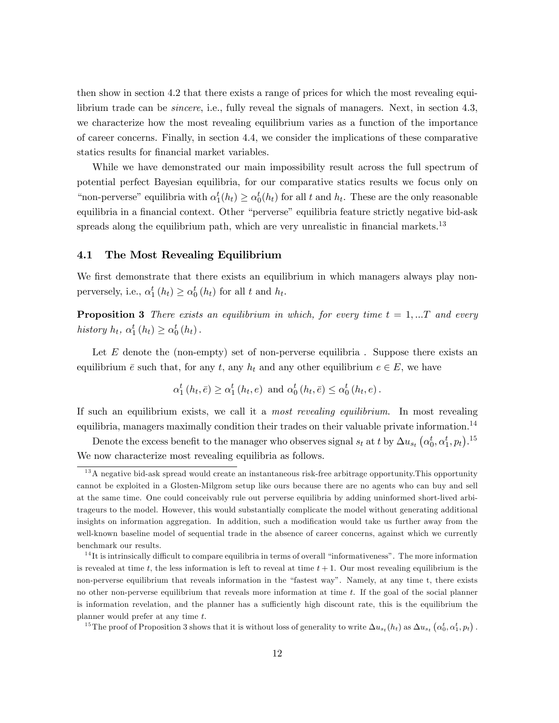then show in section 4.2 that there exists a range of prices for which the most revealing equilibrium trade can be *sincere*, i.e., fully reveal the signals of managers. Next, in section 4.3, we characterize how the most revealing equilibrium varies as a function of the importance of career concerns. Finally, in section 4.4, we consider the implications of these comparative statics results for financial market variables.

While we have demonstrated our main impossibility result across the full spectrum of potential perfect Bayesian equilibria, for our comparative statics results we focus only on "non-perverse" equilibria with  $\alpha_1^t(h_t) \geq \alpha_0^t(h_t)$  for all t and  $h_t$ . These are the only reasonable equilibria in a financial context. Other "perverse" equilibria feature strictly negative bid-ask spreads along the equilibrium path, which are very unrealistic in financial markets.<sup>13</sup>

#### 4.1 The Most Revealing Equilibrium

We first demonstrate that there exists an equilibrium in which managers always play nonperversely, i.e.,  $\alpha_1^t(h_t) \ge \alpha_0^t(h_t)$  for all t and  $h_t$ .

**Proposition 3** There exists an equilibrium in which, for every time  $t = 1, ...T$  and every history  $h_t$ ,  $\alpha_1^t(h_t) \geq \alpha_0^t(h_t)$ .

Let  $E$  denote the (non-empty) set of non-perverse equilibria. Suppose there exists an equilibrium  $\bar{e}$  such that, for any t, any  $h_t$  and any other equilibrium  $e \in E$ , we have

$$
\alpha_1^t(h_t, \bar{e}) \ge \alpha_1^t(h_t, e)
$$
 and  $\alpha_0^t(h_t, \bar{e}) \le \alpha_0^t(h_t, e)$ .

If such an equilibrium exists, we call it a most revealing equilibrium. In most revealing equilibria, managers maximally condition their trades on their valuable private information.<sup>14</sup>

Denote the excess benefit to the manager who observes signal  $s_t$  at t by  $\Delta u_{s_t}$   $(\alpha_0^t, \alpha_1^t, p_t)$ .<sup>15</sup> We now characterize most revealing equilibria as follows.

 $13A$  negative bid-ask spread would create an instantaneous risk-free arbitrage opportunity. This opportunity cannot be exploited in a Glosten-Milgrom setup like ours because there are no agents who can buy and sell at the same time. One could conceivably rule out perverse equilibria by adding uninformed short-lived arbitrageurs to the model. However, this would substantially complicate the model without generating additional insights on information aggregation. In addition, such a modification would take us further away from the well-known baseline model of sequential trade in the absence of career concerns, against which we currently benchmark our results.

 $14$ It is intrinsically difficult to compare equilibria in terms of overall "informativeness". The more information is revealed at time t, the less information is left to reveal at time  $t + 1$ . Our most revealing equilibrium is the non-perverse equilibrium that reveals information in the "fastest way". Namely, at any time t, there exists no other non-perverse equilibrium that reveals more information at time t. If the goal of the social planner is information revelation, and the planner has a sufficiently high discount rate, this is the equilibrium the planner would prefer at any time t.

<sup>&</sup>lt;sup>15</sup>The proof of Proposition 3 shows that it is without loss of generality to write  $\Delta u_{s_t}(h_t)$  as  $\Delta u_{s_t}(\alpha_0^t, \alpha_1^t, p_t)$ .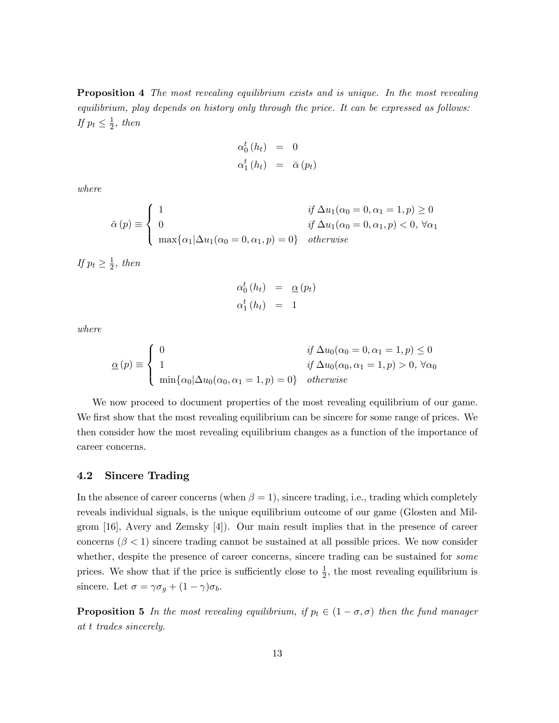**Proposition 4** The most revealing equilibrium exists and is unique. In the most revealing equilibrium, play depends on history only through the price. It can be expressed as follows: If  $p_t \leq \frac{1}{2}$  $\frac{1}{2}$ , then

$$
\alpha_0^t (h_t) = 0
$$
  

$$
\alpha_1^t (h_t) = \bar{\alpha}(p_t)
$$

where

$$
\bar{\alpha}(p) \equiv \begin{cases}\n1 & \text{if } \Delta u_1(\alpha_0 = 0, \alpha_1 = 1, p) \ge 0 \\
0 & \text{if } \Delta u_1(\alpha_0 = 0, \alpha_1, p) < 0, \forall \alpha_1 \\
\max{\alpha_1 | \Delta u_1(\alpha_0 = 0, \alpha_1, p) = 0} & \text{otherwise}\n\end{cases}
$$

If  $p_t \geq \frac{1}{2}$  $\frac{1}{2}$ , then

$$
\alpha_0^t (h_t) = \underline{\alpha}(p_t) \n\alpha_1^t (h_t) = 1
$$

where

$$
\underline{\alpha}(p) \equiv \begin{cases}\n0 & \text{if } \Delta u_0(\alpha_0 = 0, \alpha_1 = 1, p) \le 0 \\
1 & \text{if } \Delta u_0(\alpha_0, \alpha_1 = 1, p) > 0, \ \forall \alpha_0 \\
\min{\{\alpha_0 | \Delta u_0(\alpha_0, \alpha_1 = 1, p) = 0\}} & \text{otherwise}\n\end{cases}
$$

We now proceed to document properties of the most revealing equilibrium of our game. We first show that the most revealing equilibrium can be sincere for some range of prices. We then consider how the most revealing equilibrium changes as a function of the importance of career concerns.

#### 4.2 Sincere Trading

In the absence of career concerns (when  $\beta = 1$ ), sincere trading, i.e., trading which completely reveals individual signals, is the unique equilibrium outcome of our game (Glosten and Milgrom [16], Avery and Zemsky [4]). Our main result implies that in the presence of career concerns  $(\beta < 1)$  sincere trading cannot be sustained at all possible prices. We now consider whether, despite the presence of career concerns, sincere trading can be sustained for *some* prices. We show that if the price is sufficiently close to  $\frac{1}{2}$ , the most revealing equilibrium is sincere. Let  $\sigma = \gamma \sigma_g + (1 - \gamma) \sigma_b$ .

**Proposition 5** In the most revealing equilibrium, if  $p_t \in (1 - \sigma, \sigma)$  then the fund manager at t trades sincerely.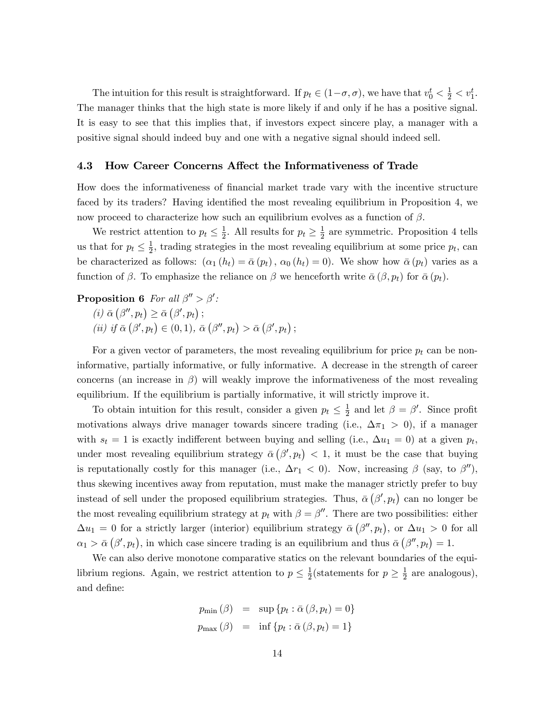The intuition for this result is straightforward. If  $p_t \in (1-\sigma, \sigma)$ , we have that  $v_0^t < \frac{1}{2} < v_1^t$ . The manager thinks that the high state is more likely if and only if he has a positive signal. It is easy to see that this implies that, if investors expect sincere play, a manager with a positive signal should indeed buy and one with a negative signal should indeed sell.

#### 4.3 How Career Concerns Affect the Informativeness of Trade

How does the informativeness of Önancial market trade vary with the incentive structure faced by its traders? Having identified the most revealing equilibrium in Proposition 4, we now proceed to characterize how such an equilibrium evolves as a function of  $\beta$ .

We restrict attention to  $p_t \leq \frac{1}{2}$  $\frac{1}{2}$ . All results for  $p_t \geq \frac{1}{2}$  $\frac{1}{2}$  are symmetric. Proposition 4 tells us that for  $p_t \leq \frac{1}{2}$  $\frac{1}{2}$ , trading strategies in the most revealing equilibrium at some price  $p_t$ , can be characterized as follows:  $(\alpha_1 (h_t) = \bar{\alpha}(p_t), \alpha_0 (h_t) = 0)$ . We show how  $\bar{\alpha}(p_t)$  varies as a function of  $\beta$ . To emphasize the reliance on  $\beta$  we henceforth write  $\bar{\alpha}(\beta, p_t)$  for  $\bar{\alpha}(p_t)$ .

Proposition 6 For all  $\beta'' > \beta'$ :

(i)  $\bar{\alpha}(\beta'', p_t) \geq \bar{\alpha}(\beta', p_t)$ ; (ii) if  $\bar{\alpha}(\beta', p_t) \in (0, 1), \bar{\alpha}(\beta'', p_t) > \bar{\alpha}(\beta', p_t)$ ;

For a given vector of parameters, the most revealing equilibrium for price  $p_t$  can be noninformative, partially informative, or fully informative. A decrease in the strength of career concerns (an increase in  $\beta$ ) will weakly improve the informativeness of the most revealing equilibrium. If the equilibrium is partially informative, it will strictly improve it.

To obtain intuition for this result, consider a given  $p_t \leq \frac{1}{2}$  $\frac{1}{2}$  and let  $\beta = \beta'$ . Since profit motivations always drive manager towards sincere trading (i.e.,  $\Delta \pi_1 > 0$ ), if a manager with  $s_t = 1$  is exactly indifferent between buying and selling (i.e.,  $\Delta u_1 = 0$ ) at a given  $p_t$ , under most revealing equilibrium strategy  $\bar{\alpha}(\beta', p_t) < 1$ , it must be the case that buying is reputationally costly for this manager (i.e.,  $\Delta r_1 < 0$ ). Now, increasing  $\beta$  (say, to  $\beta'$ ), thus skewing incentives away from reputation, must make the manager strictly prefer to buy instead of sell under the proposed equilibrium strategies. Thus,  $\bar{\alpha}$  ( $\beta', p_t$ ) can no longer be the most revealing equilibrium strategy at  $p_t$  with  $\beta = \beta''$ . There are two possibilities: either  $\Delta u_1 = 0$  for a strictly larger (interior) equilibrium strategy  $\bar{\alpha}$  ( $\beta'', p_t$ ), or  $\Delta u_1 > 0$  for all  $\alpha_1 > \bar{\alpha}(\beta', p_t)$ , in which case sincere trading is an equilibrium and thus  $\bar{\alpha}(\beta'', p_t) = 1$ .

We can also derive monotone comparative statics on the relevant boundaries of the equilibrium regions. Again, we restrict attention to  $p \leq \frac{1}{2}$  $\frac{1}{2}$ (statements for  $p \geq \frac{1}{2}$ )  $\frac{1}{2}$  are analogous), and define:

$$
p_{\min}(\beta) = \sup \{p_t : \bar{\alpha}(\beta, p_t) = 0\}
$$

$$
p_{\max}(\beta) = \inf \{p_t : \bar{\alpha}(\beta, p_t) = 1\}
$$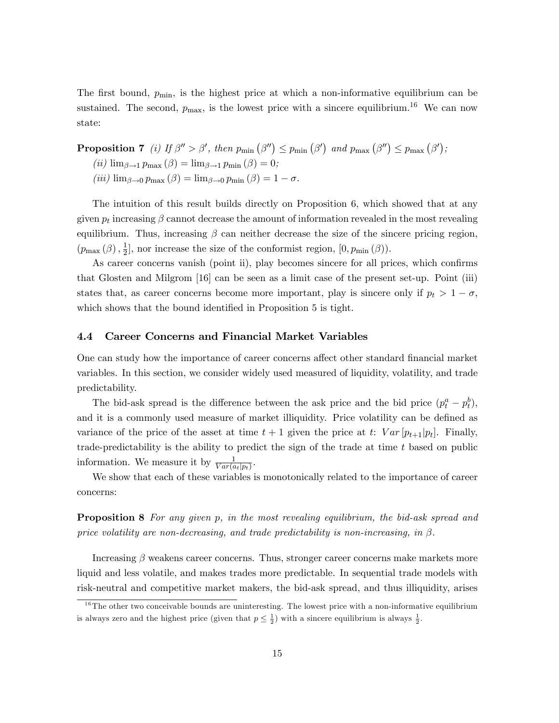The first bound,  $p_{\min}$ , is the highest price at which a non-informative equilibrium can be sustained. The second,  $p_{\text{max}}$ , is the lowest price with a sincere equilibrium.<sup>16</sup> We can now state:

Proposition 7 (i) If  $\beta'' > \beta'$ , then  $p_{\min}(\beta'') \leq p_{\min}(\beta')$  and  $p_{\max}(\beta'') \leq p_{\max}(\beta')$ ; (*ii*)  $\lim_{\beta \to 1} p_{\max}(\beta) = \lim_{\beta \to 1} p_{\min}(\beta) = 0;$ (*iii*)  $\lim_{\beta \to 0} p_{\max}(\beta) = \lim_{\beta \to 0} p_{\min}(\beta) = 1 - \sigma.$ 

The intuition of this result builds directly on Proposition 6, which showed that at any given  $p_t$  increasing  $\beta$  cannot decrease the amount of information revealed in the most revealing equilibrium. Thus, increasing  $\beta$  can neither decrease the size of the sincere pricing region,  $(p_{\max}(\beta), \frac{1}{2})$  $\frac{1}{2}$ , nor increase the size of the conformist region,  $[0, p_{\min}(\beta))$ .

As career concerns vanish (point ii), play becomes sincere for all prices, which confirms that Glosten and Milgrom [16] can be seen as a limit case of the present set-up. Point (iii) states that, as career concerns become more important, play is sincere only if  $p_t > 1 - \sigma$ , which shows that the bound identified in Proposition 5 is tight.

#### 4.4 Career Concerns and Financial Market Variables

One can study how the importance of career concerns affect other standard financial market variables. In this section, we consider widely used measured of liquidity, volatility, and trade predictability.

The bid-ask spread is the difference between the ask price and the bid price  $(p_t^a - p_t^b)$ , and it is a commonly used measure of market illiquidity. Price volatility can be defined as variance of the price of the asset at time  $t + 1$  given the price at t:  $Var[p_{t+1}|p_t]$ . Finally, trade-predictability is the ability to predict the sign of the trade at time  $t$  based on public information. We measure it by  $\frac{1}{Var(a_t|p_t)}$ .

We show that each of these variables is monotonically related to the importance of career concerns:

**Proposition 8** For any given p, in the most revealing equilibrium, the bid-ask spread and price volatility are non-decreasing, and trade predictability is non-increasing, in  $\beta$ .

Increasing  $\beta$  weakens career concerns. Thus, stronger career concerns make markets more liquid and less volatile, and makes trades more predictable. In sequential trade models with risk-neutral and competitive market makers, the bid-ask spread, and thus illiquidity, arises

 $16$ The other two conceivable bounds are uninteresting. The lowest price with a non-informative equilibrium is always zero and the highest price (given that  $p \leq \frac{1}{2}$ ) with a sincere equilibrium is always  $\frac{1}{2}$ .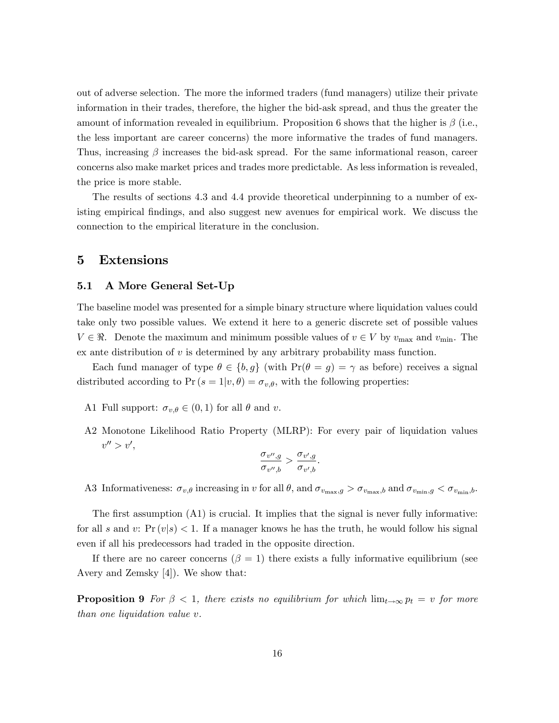out of adverse selection. The more the informed traders (fund managers) utilize their private information in their trades, therefore, the higher the bid-ask spread, and thus the greater the amount of information revealed in equilibrium. Proposition 6 shows that the higher is  $\beta$  (i.e., the less important are career concerns) the more informative the trades of fund managers. Thus, increasing  $\beta$  increases the bid-ask spread. For the same informational reason, career concerns also make market prices and trades more predictable. As less information is revealed, the price is more stable.

The results of sections 4.3 and 4.4 provide theoretical underpinning to a number of existing empirical Öndings, and also suggest new avenues for empirical work. We discuss the connection to the empirical literature in the conclusion.

### 5 Extensions

#### 5.1 A More General Set-Up

The baseline model was presented for a simple binary structure where liquidation values could take only two possible values. We extend it here to a generic discrete set of possible values  $V \in \mathbb{R}$ . Denote the maximum and minimum possible values of  $v \in V$  by  $v_{\text{max}}$  and  $v_{\text{min}}$ . The ex ante distribution of  $v$  is determined by any arbitrary probability mass function.

Each fund manager of type  $\theta \in \{b, g\}$  (with  $\Pr(\theta = g) = \gamma$  as before) receives a signal distributed according to  $Pr(s = 1|v, \theta) = \sigma_{v,\theta}$ , with the following properties:

- A1 Full support:  $\sigma_{v,\theta} \in (0,1)$  for all  $\theta$  and v.
- A2 Monotone Likelihood Ratio Property (MLRP): For every pair of liquidation values  $v'' > v'$ ,

$$
\frac{\sigma_{v'',g}}{\sigma_{v'',b}} > \frac{\sigma_{v',g}}{\sigma_{v',b}}.
$$

A3 Informativeness:  $\sigma_{v,\theta}$  increasing in v for all  $\theta$ , and  $\sigma_{v_{\text{max}},g} > \sigma_{v_{\text{max}},b}$  and  $\sigma_{v_{\text{min}},g} < \sigma_{v_{\text{min}},b}$ .

The first assumption  $(A1)$  is crucial. It implies that the signal is never fully informative: for all s and v:  $Pr(v|s) < 1$ . If a manager knows he has the truth, he would follow his signal even if all his predecessors had traded in the opposite direction.

If there are no career concerns  $(\beta = 1)$  there exists a fully informative equilibrium (see Avery and Zemsky [4]). We show that:

**Proposition 9** For  $\beta < 1$ , there exists no equilibrium for which  $\lim_{t\to\infty} p_t = v$  for more than one liquidation value v.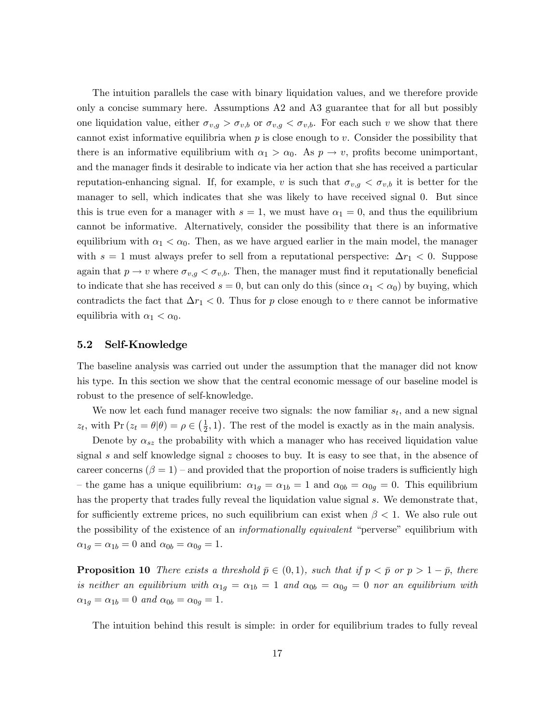The intuition parallels the case with binary liquidation values, and we therefore provide only a concise summary here. Assumptions A2 and A3 guarantee that for all but possibly one liquidation value, either  $\sigma_{v,g} > \sigma_{v,b}$  or  $\sigma_{v,g} < \sigma_{v,b}$ . For each such v we show that there cannot exist informative equilibria when  $p$  is close enough to  $v$ . Consider the possibility that there is an informative equilibrium with  $\alpha_1 > \alpha_0$ . As  $p \to v$ , profits become unimportant, and the manager finds it desirable to indicate via her action that she has received a particular reputation-enhancing signal. If, for example, v is such that  $\sigma_{v,q} < \sigma_{v,b}$  it is better for the manager to sell, which indicates that she was likely to have received signal 0. But since this is true even for a manager with  $s = 1$ , we must have  $\alpha_1 = 0$ , and thus the equilibrium cannot be informative. Alternatively, consider the possibility that there is an informative equilibrium with  $\alpha_1 < \alpha_0$ . Then, as we have argued earlier in the main model, the manager with  $s = 1$  must always prefer to sell from a reputational perspective:  $\Delta r_1 < 0$ . Suppose again that  $p \to v$  where  $\sigma_{v,g} < \sigma_{v,b}$ . Then, the manager must find it reputationally beneficial to indicate that she has received  $s = 0$ , but can only do this (since  $\alpha_1 < \alpha_0$ ) by buying, which contradicts the fact that  $\Delta r_1 < 0$ . Thus for p close enough to v there cannot be informative equilibria with  $\alpha_1 < \alpha_0$ .

#### 5.2 Self-Knowledge

The baseline analysis was carried out under the assumption that the manager did not know his type. In this section we show that the central economic message of our baseline model is robust to the presence of self-knowledge.

We now let each fund manager receive two signals: the now familiar  $s_t$ , and a new signal  $z_t$ , with Pr  $(z_t = \theta | \theta) = \rho \in \left(\frac{1}{2}\right)$  $(\frac{1}{2}, 1)$ . The rest of the model is exactly as in the main analysis.

Denote by  $\alpha_{sz}$  the probability with which a manager who has received liquidation value signal s and self knowledge signal  $z$  chooses to buy. It is easy to see that, in the absence of career concerns  $(\beta = 1)$  – and provided that the proportion of noise traders is sufficiently high – the game has a unique equilibrium:  $\alpha_{1g} = \alpha_{1b} = 1$  and  $\alpha_{0b} = \alpha_{0g} = 0$ . This equilibrium has the property that trades fully reveal the liquidation value signal s. We demonstrate that, for sufficiently extreme prices, no such equilibrium can exist when  $\beta < 1$ . We also rule out the possibility of the existence of an *informationally equivalent* "perverse" equilibrium with  $\alpha_{1g} = \alpha_{1b} = 0$  and  $\alpha_{0b} = \alpha_{0g} = 1$ .

**Proposition 10** There exists a threshold  $\bar{p} \in (0,1)$ , such that if  $p < \bar{p}$  or  $p > 1 - \bar{p}$ , there is neither an equilibrium with  $\alpha_{1g} = \alpha_{1b} = 1$  and  $\alpha_{0b} = \alpha_{0g} = 0$  nor an equilibrium with  $\alpha_{1g} = \alpha_{1b} = 0$  and  $\alpha_{0b} = \alpha_{0g} = 1$ .

The intuition behind this result is simple: in order for equilibrium trades to fully reveal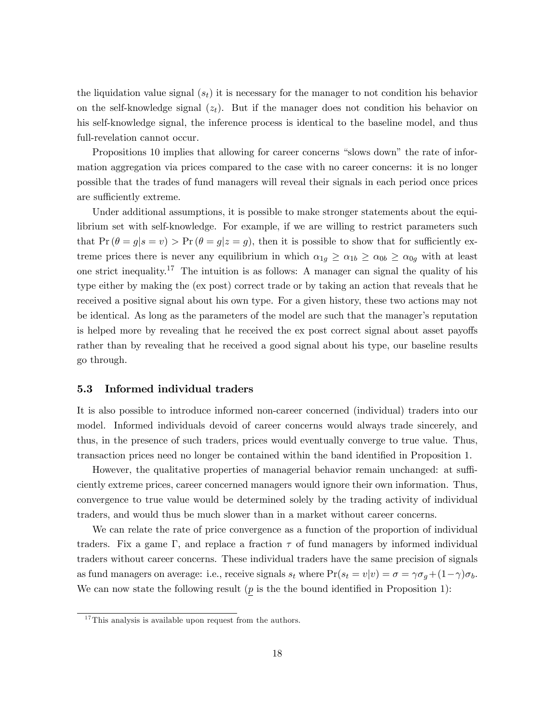the liquidation value signal  $(s_t)$  it is necessary for the manager to not condition his behavior on the self-knowledge signal  $(z_t)$ . But if the manager does not condition his behavior on his self-knowledge signal, the inference process is identical to the baseline model, and thus full-revelation cannot occur.

Propositions 10 implies that allowing for career concerns "slows down" the rate of information aggregation via prices compared to the case with no career concerns: it is no longer possible that the trades of fund managers will reveal their signals in each period once prices are sufficiently extreme.

Under additional assumptions, it is possible to make stronger statements about the equilibrium set with self-knowledge. For example, if we are willing to restrict parameters such that  $Pr(\theta = g | s = v) > Pr(\theta = g | z = g)$ , then it is possible to show that for sufficiently extreme prices there is never any equilibrium in which  $\alpha_{1g} \ge \alpha_{1b} \ge \alpha_{0b} \ge \alpha_{0g}$  with at least one strict inequality.<sup>17</sup> The intuition is as follows: A manager can signal the quality of his type either by making the (ex post) correct trade or by taking an action that reveals that he received a positive signal about his own type. For a given history, these two actions may not be identical. As long as the parameters of the model are such that the manager's reputation is helped more by revealing that he received the ex post correct signal about asset payoffs rather than by revealing that he received a good signal about his type, our baseline results go through.

#### 5.3 Informed individual traders

It is also possible to introduce informed non-career concerned (individual) traders into our model. Informed individuals devoid of career concerns would always trade sincerely, and thus, in the presence of such traders, prices would eventually converge to true value. Thus, transaction prices need no longer be contained within the band identified in Proposition 1.

However, the qualitative properties of managerial behavior remain unchanged: at sufficiently extreme prices, career concerned managers would ignore their own information. Thus, convergence to true value would be determined solely by the trading activity of individual traders, and would thus be much slower than in a market without career concerns.

We can relate the rate of price convergence as a function of the proportion of individual traders. Fix a game  $\Gamma$ , and replace a fraction  $\tau$  of fund managers by informed individual traders without career concerns. These individual traders have the same precision of signals as fund managers on average: i.e., receive signals  $s_t$  where  $Pr(s_t = v | v) = \sigma = \gamma \sigma_g + (1 - \gamma) \sigma_b$ . We can now state the following result  $(p \text{ is the } b \text{ bound identified in Proposition 1})$ :

 $17$ This analysis is available upon request from the authors.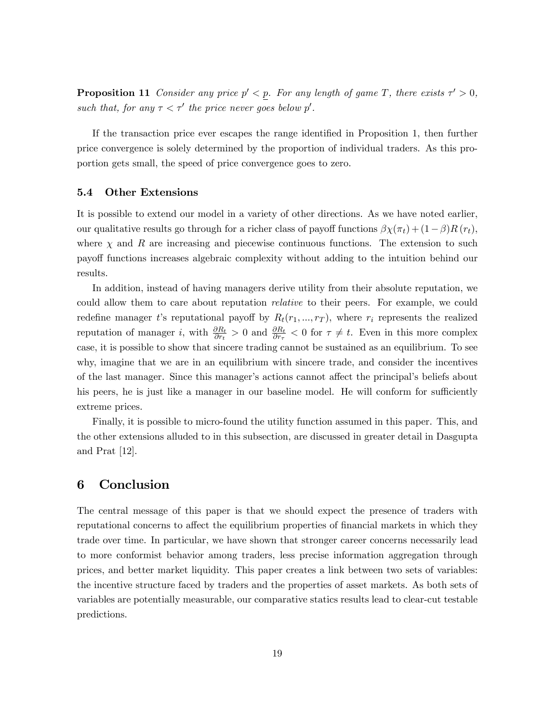**Proposition 11** Consider any price  $p' < p$ . For any length of game T, there exists  $\tau' > 0$ , such that, for any  $\tau < \tau'$  the price never goes below  $p'$ .

If the transaction price ever escapes the range identified in Proposition 1, then further price convergence is solely determined by the proportion of individual traders. As this proportion gets small, the speed of price convergence goes to zero.

#### 5.4 Other Extensions

It is possible to extend our model in a variety of other directions. As we have noted earlier, our qualitative results go through for a richer class of payoff functions  $\beta \chi(\pi_t) + (1 - \beta)R(r_t)$ , where  $\chi$  and  $R$  are increasing and piecewise continuous functions. The extension to such payo§ functions increases algebraic complexity without adding to the intuition behind our results.

In addition, instead of having managers derive utility from their absolute reputation, we could allow them to care about reputation relative to their peers. For example, we could redefine manager t's reputational payoff by  $R_t(r_1,...,r_T)$ , where  $r_i$  represents the realized reputation of manager *i*, with  $\frac{\partial R_t}{\partial r_t} > 0$  and  $\frac{\partial R_t}{\partial r_{\tau}} < 0$  for  $\tau \neq t$ . Even in this more complex case, it is possible to show that sincere trading cannot be sustained as an equilibrium. To see why, imagine that we are in an equilibrium with sincere trade, and consider the incentives of the last manager. Since this manager's actions cannot affect the principal's beliefs about his peers, he is just like a manager in our baseline model. He will conform for sufficiently extreme prices.

Finally, it is possible to micro-found the utility function assumed in this paper. This, and the other extensions alluded to in this subsection, are discussed in greater detail in Dasgupta and Prat [12].

### 6 Conclusion

The central message of this paper is that we should expect the presence of traders with reputational concerns to affect the equilibrium properties of financial markets in which they trade over time. In particular, we have shown that stronger career concerns necessarily lead to more conformist behavior among traders, less precise information aggregation through prices, and better market liquidity. This paper creates a link between two sets of variables: the incentive structure faced by traders and the properties of asset markets. As both sets of variables are potentially measurable, our comparative statics results lead to clear-cut testable predictions.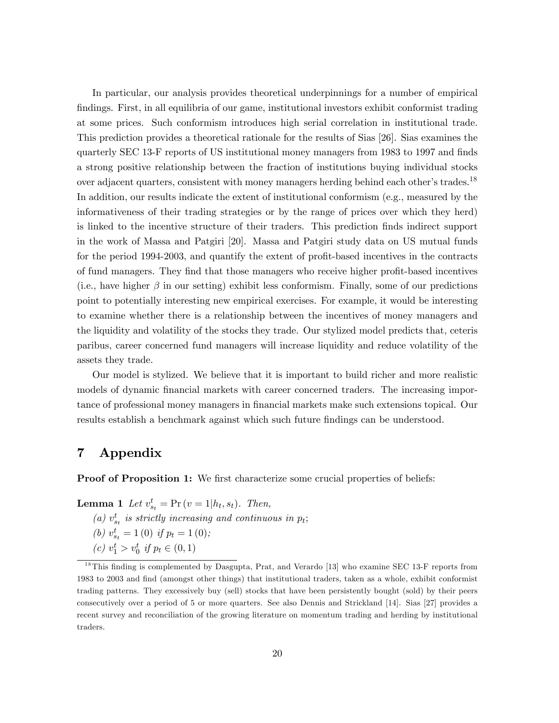In particular, our analysis provides theoretical underpinnings for a number of empirical Öndings. First, in all equilibria of our game, institutional investors exhibit conformist trading at some prices. Such conformism introduces high serial correlation in institutional trade. This prediction provides a theoretical rationale for the results of Sias [26]. Sias examines the quarterly SEC 13-F reports of US institutional money managers from 1983 to 1997 and finds a strong positive relationship between the fraction of institutions buying individual stocks over adjacent quarters, consistent with money managers herding behind each other's trades.<sup>18</sup> In addition, our results indicate the extent of institutional conformism (e.g., measured by the informativeness of their trading strategies or by the range of prices over which they herd) is linked to the incentive structure of their traders. This prediction Önds indirect support in the work of Massa and Patgiri [20]. Massa and Patgiri study data on US mutual funds for the period 1994-2003, and quantify the extent of profit-based incentives in the contracts of fund managers. They find that those managers who receive higher profit-based incentives (i.e., have higher  $\beta$  in our setting) exhibit less conformism. Finally, some of our predictions point to potentially interesting new empirical exercises. For example, it would be interesting to examine whether there is a relationship between the incentives of money managers and the liquidity and volatility of the stocks they trade. Our stylized model predicts that, ceteris paribus, career concerned fund managers will increase liquidity and reduce volatility of the assets they trade.

Our model is stylized. We believe that it is important to build richer and more realistic models of dynamic financial markets with career concerned traders. The increasing importance of professional money managers in Önancial markets make such extensions topical. Our results establish a benchmark against which such future findings can be understood.

# 7 Appendix

**Proof of Proposition 1:** We first characterize some crucial properties of beliefs:

**Lemma 1** Let  $v_{s_t}^t = Pr(v = 1 | h_t, s_t)$ . Then,

(a)  $v_{s_t}^t$  is strictly increasing and continuous in  $p_t$ ;

- (b)  $v_{s_t}^t = 1$  (0) if  $p_t = 1$  (0);
- (c)  $v_1^t > v_0^t$  if  $p_t \in (0, 1)$

 $18$ This finding is complemented by Dasgupta, Prat, and Verardo [13] who examine SEC 13-F reports from 1983 to 2003 and Önd (amongst other things) that institutional traders, taken as a whole, exhibit conformist trading patterns. They excessively buy (sell) stocks that have been persistently bought (sold) by their peers consecutively over a period of 5 or more quarters. See also Dennis and Strickland [14]. Sias [27] provides a recent survey and reconciliation of the growing literature on momentum trading and herding by institutional traders.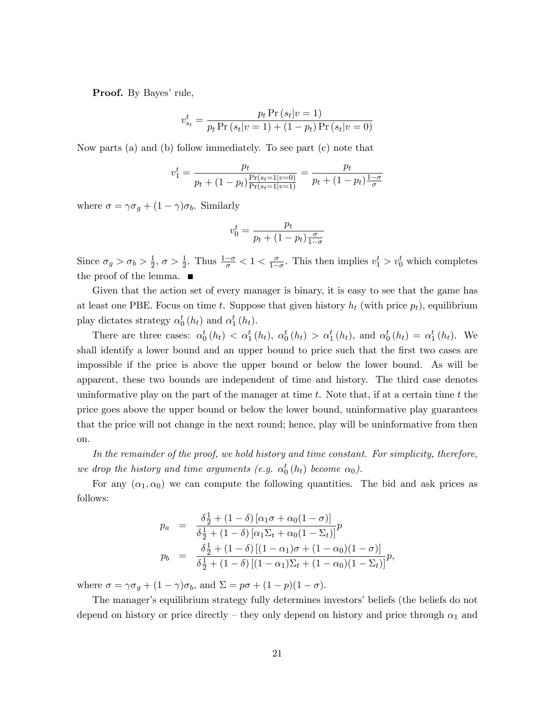**Proof.** By Bayes' rule,

$$
v_{s_t}^t = \frac{p_t \Pr(s_t|v=1)}{p_t \Pr(s_t|v=1) + (1-p_t) \Pr(s_t|v=0)}
$$

Now parts (a) and (b) follow immediately. To see part (c) note that

$$
v_1^t = \frac{p_t}{p_t + (1 - p_t) \frac{\Pr(s_t = 1 | v = 0)}{\Pr(s_t = 1 | v = 1)}} = \frac{p_t}{p_t + (1 - p_t) \frac{1 - \sigma}{\sigma}}
$$

where  $\sigma = \gamma \sigma_q + (1 - \gamma) \sigma_b$ . Similarly

$$
v_0^t = \frac{p_t}{p_t + (1 - p_t)\frac{\sigma}{1 - \sigma}}
$$

Since  $\sigma_g > \sigma_b > \frac{1}{2}$  $\frac{1}{2}$ ,  $\sigma > \frac{1}{2}$ . Thus  $\frac{1-\sigma}{\sigma} < 1 < \frac{\sigma}{1-\sigma}$  $\frac{\sigma}{1-\sigma}$ . This then implies  $v_1^t > v_0^t$  which completes the proof of the lemma.

Given that the action set of every manager is binary, it is easy to see that the game has at least one PBE. Focus on time t. Suppose that given history  $h_t$  (with price  $p_t$ ), equilibrium play dictates strategy  $\alpha_0^t(h_t)$  and  $\alpha_1^t(h_t)$ .

There are three cases:  $\alpha_0^t(h_t) < \alpha_1^t(h_t)$ ,  $\alpha_0^t(h_t) > \alpha_1^t(h_t)$ , and  $\alpha_0^t(h_t) = \alpha_1^t(h_t)$ . We shall identify a lower bound and an upper bound to price such that the first two cases are impossible if the price is above the upper bound or below the lower bound. As will be apparent, these two bounds are independent of time and history. The third case denotes uninformative play on the part of the manager at time  $t$ . Note that, if at a certain time  $t$  the price goes above the upper bound or below the lower bound, uninformative play guarantees that the price will not change in the next round; hence, play will be uninformative from then on.

In the remainder of the proof, we hold history and time constant. For simplicity, therefore, we drop the history and time arguments (e.g.  $\alpha_0^t(h_t)$  become  $\alpha_0$ ).

For any  $(\alpha_1, \alpha_0)$  we can compute the following quantities. The bid and ask prices as follows:

$$
p_a = \frac{\delta \frac{1}{2} + (1 - \delta) [\alpha_1 \sigma + \alpha_0 (1 - \sigma)]}{\delta \frac{1}{2} + (1 - \delta) [\alpha_1 \Sigma_t + \alpha_0 (1 - \Sigma_t)]} p
$$
  
\n
$$
p_b = \frac{\delta \frac{1}{2} + (1 - \delta) [(1 - \alpha_1) \sigma + (1 - \alpha_0) (1 - \sigma)]}{\delta \frac{1}{2} + (1 - \delta) [(1 - \alpha_1) \Sigma_t + (1 - \alpha_0) (1 - \Sigma_t)]} p,
$$

where  $\sigma = \gamma \sigma_g + (1 - \gamma) \sigma_b$ , and  $\Sigma = p\sigma + (1 - p)(1 - \sigma)$ .

The manager's equilibrium strategy fully determines investors' beliefs (the beliefs do not depend on history or price directly – they only depend on history and price through  $\alpha_1$  and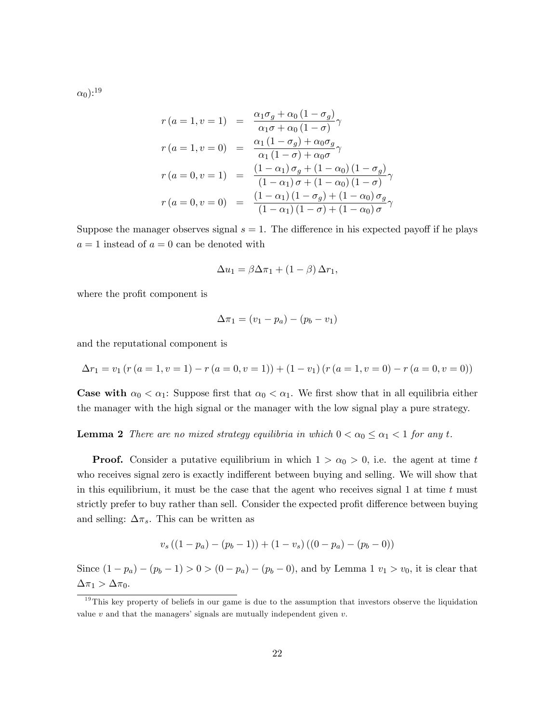$\alpha_0$ ):<sup>19</sup>

$$
r (a = 1, v = 1) = \frac{\alpha_1 \sigma_g + \alpha_0 (1 - \sigma_g)}{\alpha_1 \sigma + \alpha_0 (1 - \sigma)} \gamma
$$
  
\n
$$
r (a = 1, v = 0) = \frac{\alpha_1 (1 - \sigma_g) + \alpha_0 \sigma_g}{\alpha_1 (1 - \sigma) + \alpha_0 \sigma} \gamma
$$
  
\n
$$
r (a = 0, v = 1) = \frac{(1 - \alpha_1) \sigma_g + (1 - \alpha_0) (1 - \sigma_g)}{(1 - \alpha_1) \sigma + (1 - \alpha_0) (1 - \sigma)} \gamma
$$
  
\n
$$
r (a = 0, v = 0) = \frac{(1 - \alpha_1) (1 - \sigma_g) + (1 - \alpha_0) \sigma_g}{(1 - \alpha_1) (1 - \sigma) + (1 - \alpha_0) \sigma} \gamma
$$

Suppose the manager observes signal  $s = 1$ . The difference in his expected payoff if he plays  $a = 1$  instead of  $a = 0$  can be denoted with

$$
\Delta u_1 = \beta \Delta \pi_1 + (1 - \beta) \Delta r_1,
$$

where the profit component is

$$
\Delta \pi_1 = (v_1 - p_a) - (p_b - v_1)
$$

and the reputational component is

$$
\Delta r_1 = v_1 (r (a = 1, v = 1) - r (a = 0, v = 1)) + (1 - v_1) (r (a = 1, v = 0) - r (a = 0, v = 0))
$$

**Case with**  $\alpha_0 < \alpha_1$ : Suppose first that  $\alpha_0 < \alpha_1$ . We first show that in all equilibria either the manager with the high signal or the manager with the low signal play a pure strategy.

**Lemma 2** There are no mixed strategy equilibria in which  $0 < \alpha_0 \leq \alpha_1 < 1$  for any t.

**Proof.** Consider a putative equilibrium in which  $1 > \alpha_0 > 0$ , i.e. the agent at time t who receives signal zero is exactly indifferent between buying and selling. We will show that in this equilibrium, it must be the case that the agent who receives signal  $1$  at time  $t$  must strictly prefer to buy rather than sell. Consider the expected profit difference between buying and selling:  $\Delta \pi_s$ . This can be written as

$$
v_s ((1 - p_a) - (p_b - 1)) + (1 - v_s) ((0 - p_a) - (p_b - 0))
$$

Since  $(1 - p_a) - (p_b - 1) > 0 > (0 - p_a) - (p_b - 0)$ , and by Lemma 1  $v_1 > v_0$ , it is clear that  $\Delta \pi_1 > \Delta \pi_0.$ 

 $19$ This key property of beliefs in our game is due to the assumption that investors observe the liquidation value  $v$  and that the managers' signals are mutually independent given  $v$ .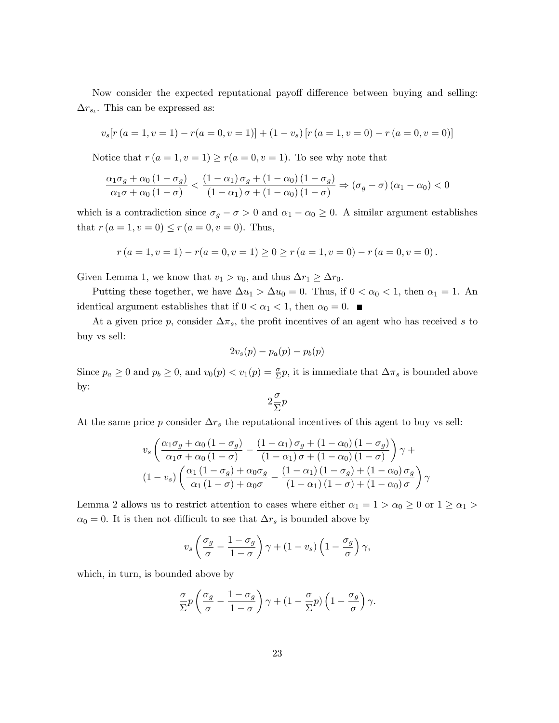Now consider the expected reputational payoff difference between buying and selling:  $\Delta r_{s_t}$ . This can be expressed as:

$$
v_s[r(a = 1, v = 1) - r(a = 0, v = 1)] + (1 - v_s)[r(a = 1, v = 0) - r(a = 0, v = 0)]
$$

Notice that  $r (a = 1, v = 1) \ge r(a = 0, v = 1)$ . To see why note that

$$
\frac{\alpha_1 \sigma_g + \alpha_0 (1 - \sigma_g)}{\alpha_1 \sigma + \alpha_0 (1 - \sigma)} < \frac{(1 - \alpha_1) \sigma_g + (1 - \alpha_0) (1 - \sigma_g)}{(1 - \alpha_1) \sigma + (1 - \alpha_0) (1 - \sigma)} \Rightarrow (\sigma_g - \sigma) (\alpha_1 - \alpha_0) < 0
$$

which is a contradiction since  $\sigma_g - \sigma > 0$  and  $\alpha_1 - \alpha_0 \geq 0$ . A similar argument establishes that  $r (a = 1, v = 0) \le r (a = 0, v = 0)$ . Thus,

$$
r(a = 1, v = 1) - r(a = 0, v = 1) \ge 0 \ge r(a = 1, v = 0) - r(a = 0, v = 0).
$$

Given Lemma 1, we know that  $v_1 > v_0$ , and thus  $\Delta r_1 \geq \Delta r_0$ .

Putting these together, we have  $\Delta u_1 > \Delta u_0 = 0$ . Thus, if  $0 < \alpha_0 < 1$ , then  $\alpha_1 = 1$ . An identical argument establishes that if  $0 < \alpha_1 < 1$ , then  $\alpha_0 = 0$ .

At a given price p, consider  $\Delta \pi_s$ , the profit incentives of an agent who has received s to buy vs sell:

$$
2v_s(p) - p_a(p) - p_b(p)
$$

Since  $p_a \ge 0$  and  $p_b \ge 0$ , and  $v_0(p) < v_1(p) = \frac{\sigma}{\Sigma} p$ , it is immediate that  $\Delta \pi_s$  is bounded above by:

$$
2\frac{\sigma}{\Sigma}p
$$

At the same price p consider  $\Delta r_s$  the reputational incentives of this agent to buy vs sell:

$$
v_s \left( \frac{\alpha_1 \sigma_g + \alpha_0 \left( 1 - \sigma_g \right)}{\alpha_1 \sigma + \alpha_0 \left( 1 - \sigma \right)} - \frac{\left( 1 - \alpha_1 \right) \sigma_g + \left( 1 - \alpha_0 \right) \left( 1 - \sigma_g \right)}{\left( 1 - \alpha_1 \right) \sigma + \left( 1 - \alpha_0 \right) \left( 1 - \sigma \right)} \right) \gamma +
$$
  

$$
\left( 1 - v_s \right) \left( \frac{\alpha_1 \left( 1 - \sigma_g \right) + \alpha_0 \sigma_g}{\alpha_1 \left( 1 - \sigma \right) + \alpha_0 \sigma} - \frac{\left( 1 - \alpha_1 \right) \left( 1 - \sigma_g \right) + \left( 1 - \alpha_0 \right) \sigma_g}{\left( 1 - \alpha_1 \right) \left( 1 - \sigma \right) + \left( 1 - \alpha_0 \right) \sigma} \right) \gamma
$$

Lemma 2 allows us to restrict attention to cases where either  $\alpha_1 = 1 > \alpha_0 \geq 0$  or  $1 \geq \alpha_1 >$  $\alpha_0 = 0$ . It is then not difficult to see that  $\Delta r_s$  is bounded above by

$$
v_s \left( \frac{\sigma_g}{\sigma} - \frac{1 - \sigma_g}{1 - \sigma} \right) \gamma + (1 - v_s) \left( 1 - \frac{\sigma_g}{\sigma} \right) \gamma,
$$

which, in turn, is bounded above by

$$
\frac{\sigma}{\Sigma}p\left(\frac{\sigma_g}{\sigma} - \frac{1-\sigma_g}{1-\sigma}\right)\gamma + \left(1 - \frac{\sigma}{\Sigma}p\right)\left(1 - \frac{\sigma_g}{\sigma}\right)\gamma.
$$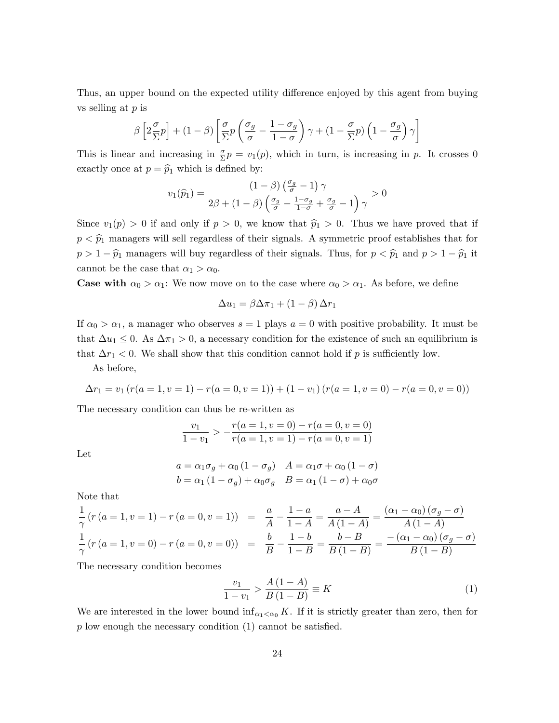Thus, an upper bound on the expected utility difference enjoyed by this agent from buying vs selling at p is

$$
\beta \left[ 2 \frac{\sigma}{\Sigma} p \right] + (1 - \beta) \left[ \frac{\sigma}{\Sigma} p \left( \frac{\sigma_g}{\sigma} - \frac{1 - \sigma_g}{1 - \sigma} \right) \gamma + (1 - \frac{\sigma}{\Sigma} p) \left( 1 - \frac{\sigma_g}{\sigma} \right) \gamma \right]
$$

This is linear and increasing in  $\frac{\sigma}{\Sigma}p = v_1(p)$ , which in turn, is increasing in p. It crosses 0 exactly once at  $p = \hat{p}_1$  which is defined by:

$$
v_1(\widehat{p}_1) = \frac{(1-\beta)\left(\frac{\sigma_g}{\sigma} - 1\right)\gamma}{2\beta + (1-\beta)\left(\frac{\sigma_g}{\sigma} - \frac{1-\sigma_g}{1-\sigma} + \frac{\sigma_g}{\sigma} - 1\right)\gamma} > 0
$$

Since  $v_1(p) > 0$  if and only if  $p > 0$ , we know that  $\hat{p}_1 > 0$ . Thus we have proved that if  $p < \hat{p}_1$  managers will sell regardless of their signals. A symmetric proof establishes that for  $p > 1 - \hat{p}_1$  managers will buy regardless of their signals. Thus, for  $p < \hat{p}_1$  and  $p > 1 - \hat{p}_1$  it cannot be the case that  $\alpha_1 > \alpha_0$ .

**Case with**  $\alpha_0 > \alpha_1$ : We now move on to the case where  $\alpha_0 > \alpha_1$ . As before, we define

$$
\Delta u_1 = \beta \Delta \pi_1 + (1 - \beta) \Delta r_1
$$

If  $\alpha_0 > \alpha_1$ , a manager who observes  $s = 1$  plays  $a = 0$  with positive probability. It must be that  $\Delta u_1 \leq 0$ . As  $\Delta \pi_1 > 0$ , a necessary condition for the existence of such an equilibrium is that  $\Delta r_1 < 0$ . We shall show that this condition cannot hold if p is sufficiently low.

As before,

$$
\Delta r_1 = v_1 (r(a = 1, v = 1) - r(a = 0, v = 1)) + (1 - v_1) (r(a = 1, v = 0) - r(a = 0, v = 0))
$$

The necessary condition can thus be re-written as

$$
\frac{v_1}{1 - v_1} > -\frac{r(a = 1, v = 0) - r(a = 0, v = 0)}{r(a = 1, v = 1) - r(a = 0, v = 1)}
$$

Let

$$
a = \alpha_1 \sigma_g + \alpha_0 (1 - \sigma_g) \quad A = \alpha_1 \sigma + \alpha_0 (1 - \sigma)
$$
  

$$
b = \alpha_1 (1 - \sigma_g) + \alpha_0 \sigma_g \quad B = \alpha_1 (1 - \sigma) + \alpha_0 \sigma
$$

Note that

$$
\frac{1}{\gamma} \left( r \left( a = 1, v = 1 \right) - r \left( a = 0, v = 1 \right) \right) = \frac{a}{A} - \frac{1 - a}{1 - A} = \frac{a - A}{A \left( 1 - A \right)} = \frac{\left( \alpha_1 - \alpha_0 \right) \left( \sigma_g - \sigma \right)}{A \left( 1 - A \right)}
$$
\n
$$
\frac{1}{\gamma} \left( r \left( a = 1, v = 0 \right) - r \left( a = 0, v = 0 \right) \right) = \frac{b}{B} - \frac{1 - b}{1 - B} = \frac{b - B}{B \left( 1 - B \right)} = \frac{-\left( \alpha_1 - \alpha_0 \right) \left( \sigma_g - \sigma \right)}{B \left( 1 - B \right)}
$$

The necessary condition becomes

$$
\frac{v_1}{1 - v_1} > \frac{A(1 - A)}{B(1 - B)} \equiv K \tag{1}
$$

We are interested in the lower bound  $\inf_{\alpha_1<\alpha_0} K$ . If it is strictly greater than zero, then for  $p$  low enough the necessary condition  $(1)$  cannot be satisfied.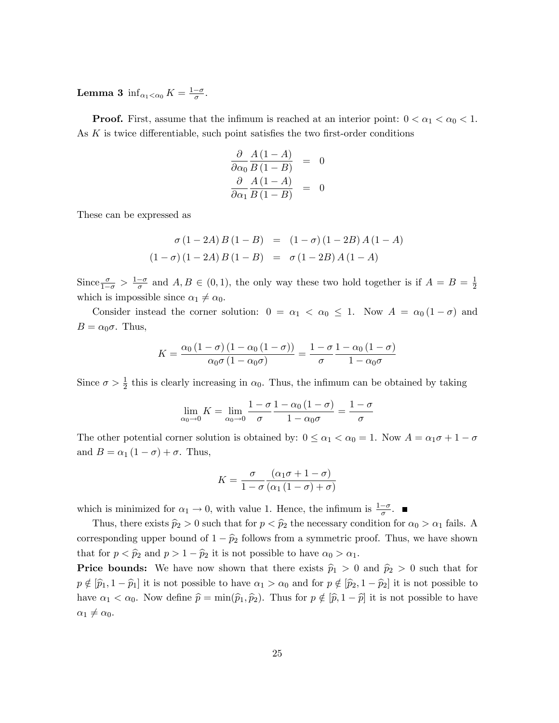**Lemma 3** inf<sub> $\alpha_1 < \alpha_0 K = \frac{1-\sigma}{\sigma}$ .</sub>

**Proof.** First, assume that the infimum is reached at an interior point:  $0 < \alpha_1 < \alpha_0 < 1$ . As  $K$  is twice differentiable, such point satisfies the two first-order conditions

$$
\frac{\partial}{\partial \alpha_0} \frac{A(1-A)}{B(1-B)} = 0
$$
  

$$
\frac{\partial}{\partial \alpha_1} \frac{A(1-A)}{B(1-B)} = 0
$$

These can be expressed as

$$
\sigma (1 - 2A) B (1 - B) = (1 - \sigma) (1 - 2B) A (1 - A)
$$
  

$$
(1 - \sigma) (1 - 2A) B (1 - B) = \sigma (1 - 2B) A (1 - A)
$$

Since  $\frac{\sigma}{1-\sigma} > \frac{1-\sigma}{\sigma}$  and  $A, B \in (0,1)$ , the only way these two hold together is if  $A = B = \frac{1}{2}$ 2 which is impossible since  $\alpha_1 \neq \alpha_0$ .

Consider instead the corner solution:  $0 = \alpha_1 < \alpha_0 \leq 1$ . Now  $A = \alpha_0 (1 - \sigma)$  and  $B = \alpha_0 \sigma$ . Thus,

$$
K = \frac{\alpha_0 \left(1 - \sigma\right) \left(1 - \alpha_0 \left(1 - \sigma\right)\right)}{\alpha_0 \sigma \left(1 - \alpha_0 \sigma\right)} = \frac{1 - \sigma}{\sigma} \frac{1 - \alpha_0 \left(1 - \sigma\right)}{1 - \alpha_0 \sigma}
$$

Since  $\sigma > \frac{1}{2}$  this is clearly increasing in  $\alpha_0$ . Thus, the infimum can be obtained by taking

$$
\lim_{\alpha_0 \to 0} K = \lim_{\alpha_0 \to 0} \frac{1 - \sigma}{\sigma} \frac{1 - \alpha_0 (1 - \sigma)}{1 - \alpha_0 \sigma} = \frac{1 - \sigma}{\sigma}
$$

The other potential corner solution is obtained by:  $0 \leq \alpha_1 < \alpha_0 = 1$ . Now  $A = \alpha_1 \sigma + 1 - \sigma$ and  $B = \alpha_1 (1 - \sigma) + \sigma$ . Thus,

$$
K = \frac{\sigma}{1 - \sigma} \frac{(\alpha_1 \sigma + 1 - \sigma)}{(\alpha_1 (1 - \sigma) + \sigma)}
$$

which is minimized for  $\alpha_1 \to 0$ , with value 1. Hence, the infimum is  $\frac{1-\sigma}{\sigma}$ .

Thus, there exists  $\hat{p}_2 > 0$  such that for  $p < \hat{p}_2$  the necessary condition for  $\alpha_0 > \alpha_1$  fails. A corresponding upper bound of  $1 - \hat{p}_2$  follows from a symmetric proof. Thus, we have shown that for  $p < \hat{p}_2$  and  $p > 1 - \hat{p}_2$  it is not possible to have  $\alpha_0 > \alpha_1$ .

**Price bounds:** We have now shown that there exists  $\hat{p}_1 > 0$  and  $\hat{p}_2 > 0$  such that for  $p \notin [\hat{p}_1, 1 - \hat{p}_1]$  it is not possible to have  $\alpha_1 > \alpha_0$  and for  $p \notin [\hat{p}_2, 1 - \hat{p}_2]$  it is not possible to have  $\alpha_1 < \alpha_0$ . Now define  $\hat{p} = \min(\hat{p}_1, \hat{p}_2)$ . Thus for  $p \notin [\hat{p}, 1 - \hat{p}]$  it is not possible to have  $\alpha_1 \neq \alpha_0.$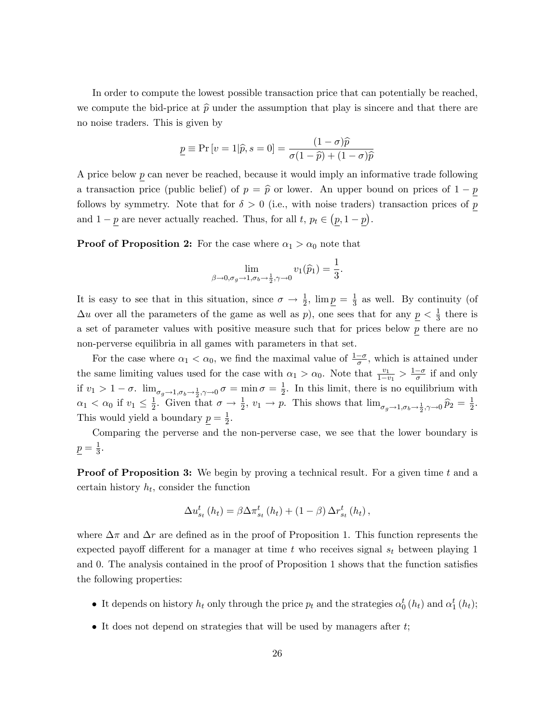In order to compute the lowest possible transaction price that can potentially be reached, we compute the bid-price at  $\hat{p}$  under the assumption that play is sincere and that there are no noise traders. This is given by

$$
\underline{p} \equiv \Pr\left[v = 1 | \widehat{p}, s = 0\right] = \frac{(1 - \sigma)\widehat{p}}{\sigma(1 - \widehat{p}) + (1 - \sigma)\widehat{p}}
$$

A price below p can never be reached, because it would imply an informative trade following a transaction price (public belief) of  $p = \hat{p}$  or lower. An upper bound on prices of  $1 - p$ follows by symmetry. Note that for  $\delta > 0$  (i.e., with noise traders) transaction prices of p and  $1 - \underline{p}$  are never actually reached. Thus, for all  $t, p_t \in (\underline{p}, 1 - \underline{p})$ .

**Proof of Proposition 2:** For the case where  $\alpha_1 > \alpha_0$  note that

$$
\lim_{\beta \to 0, \sigma_g \to 1, \sigma_b \to \frac{1}{2}, \gamma \to 0} v_1(\hat{p}_1) = \frac{1}{3}.
$$

It is easy to see that in this situation, since  $\sigma \to \frac{1}{2}$ ,  $\lim p = \frac{1}{3}$  $\frac{1}{3}$  as well. By continuity (of  $\Delta u$  over all the parameters of the game as well as p), one sees that for any  $p < \frac{1}{3}$  $\frac{1}{3}$  there is a set of parameter values with positive measure such that for prices below  $p$  there are no non-perverse equilibria in all games with parameters in that set.

For the case where  $\alpha_1 < \alpha_0$ , we find the maximal value of  $\frac{1-\sigma}{\sigma}$ , which is attained under the same limiting values used for the case with  $\alpha_1 > \alpha_0$ . Note that  $\frac{v_1}{1-v_1} > \frac{1-\sigma}{\sigma}$  if and only if  $v_1 > 1 - \sigma$ .  $\lim_{\sigma_g \to 1, \sigma_b \to \frac{1}{2}, \gamma \to 0} \sigma = \min_{\sigma} \sigma = \frac{1}{2}$  $\frac{1}{2}$ . In this limit, there is no equilibrium with  $\alpha_1 < \alpha_0$  if  $v_1 \leq \frac{1}{2}$ <sup>1</sup>/<sub>2</sub>. Given that  $\sigma \to \frac{1}{2}$ ,  $v_1 \to p$ . This shows that  $\lim_{\sigma_g \to 1, \sigma_b \to \frac{1}{2}, \gamma \to 0} \hat{p}_2 = \frac{1}{2}$  $\frac{1}{2}$ . This would yield a boundary  $p=\frac{1}{2}$  $\frac{1}{2}$ .

Comparing the perverse and the non-perverse case, we see that the lower boundary is  $p=\frac{1}{3}$  $\frac{1}{3}$ .

**Proof of Proposition 3:** We begin by proving a technical result. For a given time t and a certain history  $h_t$ , consider the function

$$
\Delta u_{s_t}^t(h_t) = \beta \Delta \pi_{s_t}^t(h_t) + (1 - \beta) \Delta r_{s_t}^t(h_t),
$$

where  $\Delta \pi$  and  $\Delta r$  are defined as in the proof of Proposition 1. This function represents the expected payoff different for a manager at time t who receives signal  $s_t$  between playing 1 and 0. The analysis contained in the proof of Proposition 1 shows that the function satisfies the following properties:

- It depends on history  $h_t$  only through the price  $p_t$  and the strategies  $\alpha_0^t(h_t)$  and  $\alpha_1^t(h_t)$ ;
- $\bullet$  It does not depend on strategies that will be used by managers after t;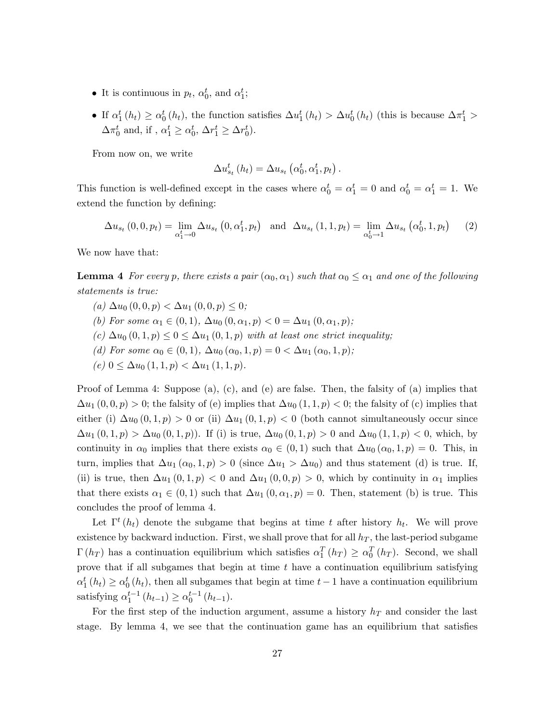- It is continuous in  $p_t$ ,  $\alpha_0^t$ , and  $\alpha_1^t$ ;
- If  $\alpha_1^t(h_t) \geq \alpha_0^t(h_t)$ , the function satisfies  $\Delta u_1^t(h_t) > \Delta u_0^t(h_t)$  (this is because  $\Delta \pi_1^t$ )  $\Delta \pi_0^t$  and, if,  $\alpha_1^t \ge \alpha_0^t$ ,  $\Delta r_1^t \ge \Delta r_0^t$ .

From now on, we write

$$
\Delta u_{s_t}^t(h_t) = \Delta u_{s_t} \left( \alpha_0^t, \alpha_1^t, p_t \right).
$$

This function is well-defined except in the cases where  $\alpha_0^t = \alpha_1^t = 0$  and  $\alpha_0^t = \alpha_1^t = 1$ . We extend the function by defining:

$$
\Delta u_{s_t}(0,0,p_t) = \lim_{\alpha_1^t \to 0} \Delta u_{s_t}(0,\alpha_1^t,p_t) \quad \text{and} \quad \Delta u_{s_t}(1,1,p_t) = \lim_{\alpha_0^t \to 1} \Delta u_{s_t}(\alpha_0^t,1,p_t) \tag{2}
$$

We now have that:

**Lemma 4** For every p, there exists a pair  $(\alpha_0, \alpha_1)$  such that  $\alpha_0 \leq \alpha_1$  and one of the following statements is true:

- (a)  $\Delta u_0 (0, 0, p) < \Delta u_1 (0, 0, p) \leq 0;$
- (b) For some  $\alpha_1 \in (0, 1)$ ,  $\Delta u_0 (0, \alpha_1, p) < 0 = \Delta u_1 (0, \alpha_1, p);$
- (c)  $\Delta u_0 (0, 1, p) \leq 0 \leq \Delta u_1 (0, 1, p)$  with at least one strict inequality;
- (d) For some  $\alpha_0 \in (0, 1)$ ,  $\Delta u_0 (\alpha_0, 1, p) = 0 < \Delta u_1 (\alpha_0, 1, p)$ ;
- (e)  $0 \leq \Delta u_0 (1, 1, p) < \Delta u_1 (1, 1, p).$

Proof of Lemma 4: Suppose (a), (c), and (e) are false. Then, the falsity of (a) implies that  $\Delta u_1 (0, 0, p) > 0$ ; the falsity of (e) implies that  $\Delta u_0 (1, 1, p) < 0$ ; the falsity of (c) implies that either (i)  $\Delta u_0(0, 1, p) > 0$  or (ii)  $\Delta u_1(0, 1, p) < 0$  (both cannot simultaneously occur since  $\Delta u_1 (0, 1, p) > \Delta u_0 (0, 1, p)$ . If (i) is true,  $\Delta u_0 (0, 1, p) > 0$  and  $\Delta u_0 (1, 1, p) < 0$ , which, by continuity in  $\alpha_0$  implies that there exists  $\alpha_0 \in (0,1)$  such that  $\Delta u_0 (\alpha_0, 1, p) = 0$ . This, in turn, implies that  $\Delta u_1 (\alpha_0, 1, p) > 0$  (since  $\Delta u_1 > \Delta u_0$ ) and thus statement (d) is true. If, (ii) is true, then  $\Delta u_1 (0, 1, p) < 0$  and  $\Delta u_1 (0, 0, p) > 0$ , which by continuity in  $\alpha_1$  implies that there exists  $\alpha_1 \in (0, 1)$  such that  $\Delta u_1 (0, \alpha_1, p) = 0$ . Then, statement (b) is true. This concludes the proof of lemma 4.

Let  $\Gamma^t(h_t)$  denote the subgame that begins at time t after history  $h_t$ . We will prove existence by backward induction. First, we shall prove that for all  $h_T$ , the last-period subgame  $\Gamma(h_T)$  has a continuation equilibrium which satisfies  $\alpha_1^T(h_T) \geq \alpha_0^T(h_T)$ . Second, we shall prove that if all subgames that begin at time  $t$  have a continuation equilibrium satisfying  $\alpha_1^t(h_t) \ge \alpha_0^t(h_t)$ , then all subgames that begin at time  $t-1$  have a continuation equilibrium satisfying  $\alpha_1^{t-1} (h_{t-1}) \ge \alpha_0^{t-1} (h_{t-1}).$ 

For the first step of the induction argument, assume a history  $h_T$  and consider the last stage. By lemma 4, we see that the continuation game has an equilibrium that satisfies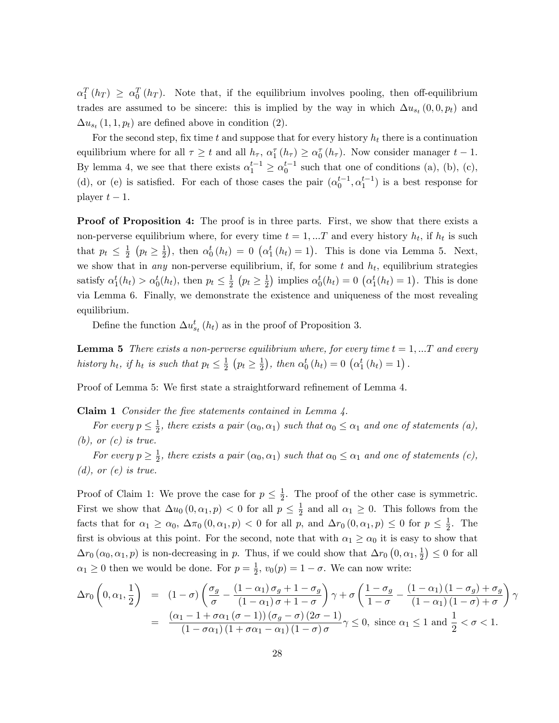$\alpha_1^T(h_T) \geq \alpha_0^T(h_T)$ . Note that, if the equilibrium involves pooling, then off-equilibrium trades are assumed to be sincere: this is implied by the way in which  $\Delta u_{s_t}(0,0,p_t)$  and  $\Delta u_{s_t}(1,1,p_t)$  are defined above in condition (2).

For the second step, fix time t and suppose that for every history  $h_t$  there is a continuation equilibrium where for all  $\tau \geq t$  and all  $h_{\tau}$ ,  $\alpha_1^{\tau} (h_{\tau}) \geq \alpha_0^{\tau} (h_{\tau})$ . Now consider manager  $t - 1$ . By lemma 4, we see that there exists  $\alpha_1^{t-1} \ge \alpha_0^{t-1}$  such that one of conditions (a), (b), (c), (d), or (e) is satisfied. For each of those cases the pair  $(\alpha_0^{t-1}, \alpha_1^{t-1})$  is a best response for player  $t-1$ .

**Proof of Proposition 4:** The proof is in three parts. First, we show that there exists a non-perverse equilibrium where, for every time  $t = 1, ...T$  and every history  $h_t$ , if  $h_t$  is such that  $p_t \leq \frac{1}{2}$  $\frac{1}{2}$   $(p_t \geq \frac{1}{2})$  $(\frac{1}{2})$ , then  $\alpha_0^t(h_t) = 0$   $(\alpha_1^t(h_t) = 1)$ . This is done via Lemma 5. Next, we show that in *any* non-perverse equilibrium, if, for some  $t$  and  $h_t$ , equilibrium strategies satisfy  $\alpha_1^t(h_t) > \alpha_0^t(h_t)$ , then  $p_t \leq \frac{1}{2}$  $\frac{1}{2} (p_t \geq \frac{1}{2})$  $\frac{1}{2}$ ) implies  $\alpha_0^t(h_t) = 0$   $(\alpha_1^t(h_t) = 1)$ . This is done via Lemma 6. Finally, we demonstrate the existence and uniqueness of the most revealing equilibrium.

Define the function  $\Delta u_{s_t}^t(h_t)$  as in the proof of Proposition 3.

**Lemma 5** There exists a non-perverse equilibrium where, for every time  $t = 1, ...T$  and every history  $h_t$ , if  $h_t$  is such that  $p_t \leq \frac{1}{2}$  $\frac{1}{2} (p_t \geq \frac{1}{2})$  $(\frac{1}{2})$ , then  $\alpha_0^t(h_t) = 0$   $(\alpha_1^t(h_t) = 1)$ .

Proof of Lemma 5: We first state a straightforward refinement of Lemma 4.

Claim 1 Consider the five statements contained in Lemma  $\ddot{4}$ .

For every  $p \leq \frac{1}{2}$  $\frac{1}{2}$ , there exists a pair  $(\alpha_0, \alpha_1)$  such that  $\alpha_0 \leq \alpha_1$  and one of statements  $(a)$ ,  $(b)$ , or  $(c)$  is true.

For every  $p \geq \frac{1}{2}$  $\frac{1}{2}$ , there exists a pair  $(\alpha_0, \alpha_1)$  such that  $\alpha_0 \leq \alpha_1$  and one of statements  $(c)$ ,  $(d)$ , or  $(e)$  is true.

Proof of Claim 1: We prove the case for  $p \leq \frac{1}{2}$  $\frac{1}{2}$ . The proof of the other case is symmetric. First we show that  $\Delta u_0(0, \alpha_1, p) < 0$  for all  $p \leq \frac{1}{2}$  $\frac{1}{2}$  and all  $\alpha_1 \geq 0$ . This follows from the facts that for  $\alpha_1 \ge \alpha_0$ ,  $\Delta \pi_0 (0, \alpha_1, p) < 0$  for all p, and  $\Delta r_0 (0, \alpha_1, p) \le 0$  for  $p \le \frac{1}{2}$  $\frac{1}{2}$ . The first is obvious at this point. For the second, note that with  $\alpha_1 \geq \alpha_0$  it is easy to show that  $\Delta r_0(\alpha_0, \alpha_1, p)$  is non-decreasing in p. Thus, if we could show that  $\Delta r_0(0, \alpha_1, \frac{1}{2})$  $(\frac{1}{2}) \leq 0$  for all  $\alpha_1 \geq 0$  then we would be done. For  $p = \frac{1}{2}$  $\frac{1}{2}$ ,  $v_0(p) = 1 - \sigma$ . We can now write:

$$
\Delta r_0 \left(0, \alpha_1, \frac{1}{2}\right) = (1 - \sigma) \left(\frac{\sigma_g}{\sigma} - \frac{(1 - \alpha_1)\sigma_g + 1 - \sigma_g}{(1 - \alpha_1)\sigma + 1 - \sigma}\right) \gamma + \sigma \left(\frac{1 - \sigma_g}{1 - \sigma} - \frac{(1 - \alpha_1)(1 - \sigma_g) + \sigma_g}{(1 - \alpha_1)(1 - \sigma) + \sigma}\right) \gamma
$$

$$
= \frac{(\alpha_1 - 1 + \sigma_{\alpha_1}(\sigma - 1))(\sigma_g - \sigma)(2\sigma - 1)}{(1 - \sigma_{\alpha_1})(1 + \sigma_{\alpha_1} - \alpha_1)(1 - \sigma)\sigma} \gamma \le 0, \text{ since } \alpha_1 \le 1 \text{ and } \frac{1}{2} < \sigma < 1.
$$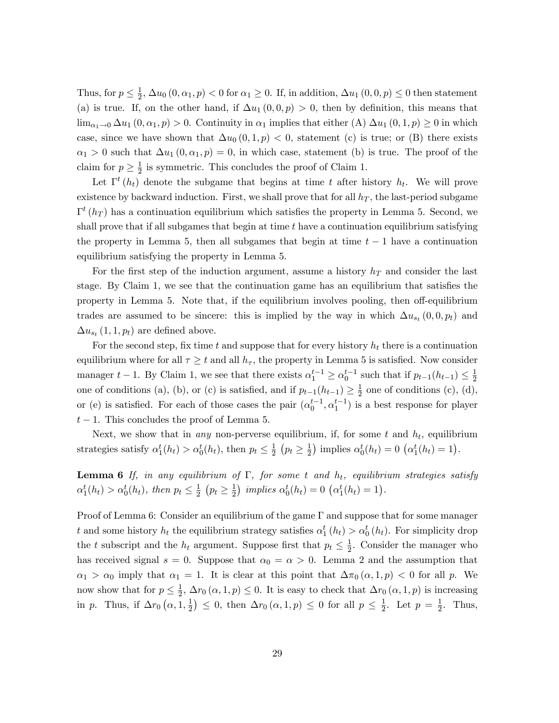Thus, for  $p \leq \frac{1}{2}$  $\frac{1}{2}$ ,  $\Delta u_0(0, \alpha_1, p) < 0$  for  $\alpha_1 \geq 0$ . If, in addition,  $\Delta u_1(0, 0, p) \leq 0$  then statement (a) is true. If, on the other hand, if  $\Delta u_1 (0, 0, p) > 0$ , then by definition, this means that  $\lim_{\alpha_1 \to 0} \Delta u_1 (0, \alpha_1, p) > 0$ . Continuity in  $\alpha_1$  implies that either (A)  $\Delta u_1 (0, 1, p) \ge 0$  in which case, since we have shown that  $\Delta u_0 (0, 1, p) < 0$ , statement (c) is true; or (B) there exists  $\alpha_1 > 0$  such that  $\Delta u_1 (0, \alpha_1, p) = 0$ , in which case, statement (b) is true. The proof of the claim for  $p \geq \frac{1}{2}$  $\frac{1}{2}$  is symmetric. This concludes the proof of Claim 1.

Let  $\Gamma^t(h_t)$  denote the subgame that begins at time t after history  $h_t$ . We will prove existence by backward induction. First, we shall prove that for all  $h_T$ , the last-period subgame  $\Gamma^t(h_T)$  has a continuation equilibrium which satisfies the property in Lemma 5. Second, we shall prove that if all subgames that begin at time  $t$  have a continuation equilibrium satisfying the property in Lemma 5, then all subgames that begin at time  $t-1$  have a continuation equilibrium satisfying the property in Lemma 5.

For the first step of the induction argument, assume a history  $h_T$  and consider the last stage. By Claim 1, we see that the continuation game has an equilibrium that satisfies the property in Lemma 5. Note that, if the equilibrium involves pooling, then off-equilibrium trades are assumed to be sincere: this is implied by the way in which  $\Delta u_{s_t}(0,0,p_t)$  and  $\Delta u_{s_t}$   $(1, 1, p_t)$  are defined above.

For the second step, fix time t and suppose that for every history  $h_t$  there is a continuation equilibrium where for all  $\tau \geq t$  and all  $h_{\tau}$ , the property in Lemma 5 is satisfied. Now consider manager  $t-1$ . By Claim 1, we see that there exists  $\alpha_1^{t-1} \ge \alpha_0^{t-1}$  such that if  $p_{t-1}(h_{t-1}) \le \frac{1}{2}$ 2 one of conditions (a), (b), or (c) is satisfied, and if  $p_{t-1}(h_{t-1}) \geq \frac{1}{2}$  $\frac{1}{2}$  one of conditions (c), (d), or (e) is satisfied. For each of those cases the pair  $(\alpha_0^{t-1}, \alpha_1^{t-1})$  is a best response for player  $t-1$ . This concludes the proof of Lemma 5.

Next, we show that in *any* non-perverse equilibrium, if, for some t and  $h_t$ , equilibrium strategies satisfy  $\alpha_1^t(h_t) > \alpha_0^t(h_t)$ , then  $p_t \leq \frac{1}{2}$  $\frac{1}{2} (p_t \geq \frac{1}{2})$  $\frac{1}{2}$ ) implies  $\alpha_0^t(h_t) = 0 \ (\alpha_1^t(h_t) = 1).$ 

**Lemma 6** If, in any equilibrium of  $\Gamma$ , for some t and  $h_t$ , equilibrium strategies satisfy  $\alpha_1^t(h_t) > \alpha_0^t(h_t)$ , then  $p_t \leq \frac{1}{2}$  $\frac{1}{2} (p_t \geq \frac{1}{2})$  $\frac{1}{2}$ ) implies  $\alpha_0^t(h_t) = 0$   $(\alpha_1^t(h_t) = 1)$ .

Proof of Lemma 6: Consider an equilibrium of the game  $\Gamma$  and suppose that for some manager t and some history  $h_t$  the equilibrium strategy satisfies  $\alpha_1^t(h_t) > \alpha_0^t(h_t)$ . For simplicity drop the t subscript and the  $h_t$  argument. Suppose first that  $p_t \leq \frac{1}{2}$  $\frac{1}{2}$ . Consider the manager who has received signal  $s = 0$ . Suppose that  $\alpha_0 = \alpha > 0$ . Lemma 2 and the assumption that  $\alpha_1 > \alpha_0$  imply that  $\alpha_1 = 1$ . It is clear at this point that  $\Delta \pi_0 (\alpha, 1, p) < 0$  for all p. We now show that for  $p \leq \frac{1}{2}$  $\frac{1}{2}$ ,  $\Delta r_0(\alpha, 1, p) \leq 0$ . It is easy to check that  $\Delta r_0(\alpha, 1, p)$  is increasing in p. Thus, if  $\Delta r_0\left(\alpha, 1, \frac{1}{2}\right)$  $\frac{1}{2}$   $\leq$  0, then  $\Delta r_0(\alpha, 1, p) \leq 0$  for all  $p \leq \frac{1}{2}$  $\frac{1}{2}$ . Let  $p = \frac{1}{2}$  $\frac{1}{2}$ . Thus,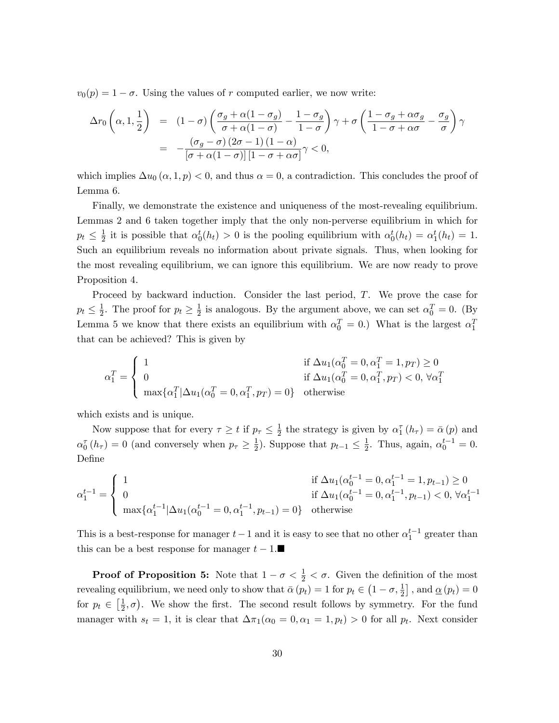$v_0(p) = 1 - \sigma$ . Using the values of r computed earlier, we now write:

$$
\Delta r_0 \left( \alpha, 1, \frac{1}{2} \right) = (1 - \sigma) \left( \frac{\sigma_g + \alpha (1 - \sigma_g)}{\sigma + \alpha (1 - \sigma)} - \frac{1 - \sigma_g}{1 - \sigma} \right) \gamma + \sigma \left( \frac{1 - \sigma_g + \alpha \sigma_g}{1 - \sigma + \alpha \sigma} - \frac{\sigma_g}{\sigma} \right) \gamma
$$

$$
= -\frac{(\sigma_g - \sigma) (2\sigma - 1) (1 - \alpha)}{[\sigma + \alpha (1 - \sigma)] [1 - \sigma + \alpha \sigma]} \gamma < 0,
$$

which implies  $\Delta u_0 (\alpha, 1, p) < 0$ , and thus  $\alpha = 0$ , a contradiction. This concludes the proof of Lemma 6.

Finally, we demonstrate the existence and uniqueness of the most-revealing equilibrium. Lemmas 2 and 6 taken together imply that the only non-perverse equilibrium in which for  $p_t \leq \frac{1}{2}$  $\frac{1}{2}$  it is possible that  $\alpha_0^t(h_t) > 0$  is the pooling equilibrium with  $\alpha_0^t(h_t) = \alpha_1^t(h_t) = 1$ . Such an equilibrium reveals no information about private signals. Thus, when looking for the most revealing equilibrium, we can ignore this equilibrium. We are now ready to prove Proposition 4.

Proceed by backward induction. Consider the last period, T. We prove the case for  $p_t \leq \frac{1}{2}$  $\frac{1}{2}$ . The proof for  $p_t \geq \frac{1}{2}$  $\frac{1}{2}$  is analogous. By the argument above, we can set  $\alpha_0^T = 0$ . (By Lemma 5 we know that there exists an equilibrium with  $\alpha_0^T = 0$ .) What is the largest  $\alpha_1^T$ that can be achieved? This is given by

$$
\alpha_1^T = \begin{cases}\n1 & \text{if } \Delta u_1(\alpha_0^T = 0, \alpha_1^T = 1, p_T) \ge 0 \\
0 & \text{if } \Delta u_1(\alpha_0^T = 0, \alpha_1^T, p_T) < 0, \forall \alpha_1^T \\
\max{\{\alpha_1^T | \Delta u_1(\alpha_0^T = 0, \alpha_1^T, p_T) = 0\}} & \text{otherwise}\n\end{cases}
$$

which exists and is unique.

Now suppose that for every  $\tau \geq t$  if  $p_{\tau} \leq \frac{1}{2}$  $\frac{1}{2}$  the strategy is given by  $\alpha_1^{\tau}(h_{\tau}) = \bar{\alpha}(p)$  and  $\alpha_0^{\tau} (h_{\tau}) = 0$  (and conversely when  $p_{\tau} \geq \frac{1}{2}$  $(\frac{1}{2})$ . Suppose that  $p_{t-1} \leq \frac{1}{2}$  $\frac{1}{2}$ . Thus, again,  $\alpha_0^{t-1} = 0$ . DeÖne

$$
\alpha_1^{t-1} = \left\{ \begin{array}{ll} 1 & \text{if } \Delta u_1(\alpha_0^{t-1} = 0, \alpha_1^{t-1} = 1, p_{t-1}) \geq 0 \\ 0 & \text{if } \Delta u_1(\alpha_0^{t-1} = 0, \alpha_1^{t-1}, p_{t-1}) < 0, \, \forall \alpha_1^{t-1} = 0, \\ \max\{\alpha_1^{t-1} | \Delta u_1(\alpha_0^{t-1} = 0, \alpha_1^{t-1}, p_{t-1}) = 0\} & \text{otherwise} \end{array} \right.
$$

This is a best-response for manager  $t-1$  and it is easy to see that no other  $\alpha_1^{t-1}$  greater than this can be a best response for manager  $t-1$ .

**Proof of Proposition 5:** Note that  $1 - \sigma < \frac{1}{2} < \sigma$ . Given the definition of the most revealing equilibrium, we need only to show that  $\bar{\alpha}(p_t) = 1$  for  $p_t \in (1 - \sigma, \frac{1}{2}]$ , and  $\underline{\alpha}(p_t) = 0$ for  $p_t \in \left[\frac{1}{2}\right]$  $(\frac{1}{2}, \sigma)$ . We show the first. The second result follows by symmetry. For the fund manager with  $s_t = 1$ , it is clear that  $\Delta \pi_1(\alpha_0 = 0, \alpha_1 = 1, p_t) > 0$  for all  $p_t$ . Next consider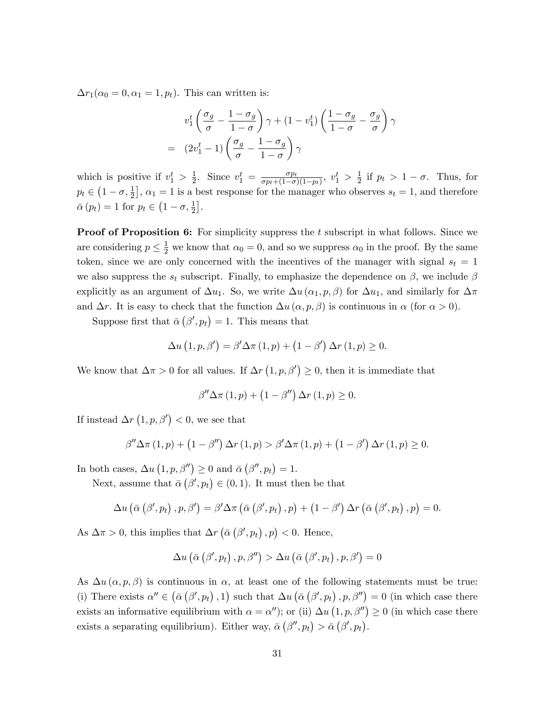$\Delta r_1(\alpha_0 = 0, \alpha_1 = 1, p_t)$ . This can written is:

$$
v_1^t \left( \frac{\sigma_g}{\sigma} - \frac{1 - \sigma_g}{1 - \sigma} \right) \gamma + (1 - v_1^t) \left( \frac{1 - \sigma_g}{1 - \sigma} - \frac{\sigma_g}{\sigma} \right) \gamma
$$
  
= 
$$
(2v_1^t - 1) \left( \frac{\sigma_g}{\sigma} - \frac{1 - \sigma_g}{1 - \sigma} \right) \gamma
$$

which is positive if  $v_1^t > \frac{1}{2}$  $\frac{1}{2}$ . Since  $v_1^t = \frac{\sigma p_t}{\sigma p_t + (1-\sigma)^t}$  $\frac{\sigma p_t}{\sigma p_t + (1-\sigma)(1-p_t)}, v_1^t > \frac{1}{2}$  $\frac{1}{2}$  if  $p_t > 1 - \sigma$ . Thus, for  $p_t \in (1 - \sigma, \frac{1}{2}], \alpha_1 = 1$  is a best response for the manager who observes  $s_t = 1$ , and therefore  $\bar{\alpha}(p_t) = 1$  for  $p_t \in (1 - \sigma, \frac{1}{2}]$ .

Proof of Proposition 6: For simplicity suppress the t subscript in what follows. Since we are considering  $p \leq \frac{1}{2}$  we know that  $\alpha_0 = 0$ , and so we suppress  $\alpha_0$  in the proof. By the same token, since we are only concerned with the incentives of the manager with signal  $s_t = 1$ we also suppress the  $s_t$  subscript. Finally, to emphasize the dependence on  $\beta$ , we include  $\beta$ explicitly as an argument of  $\Delta u_1$ . So, we write  $\Delta u$   $(\alpha_1, p, \beta)$  for  $\Delta u_1$ , and similarly for  $\Delta \pi$ and  $\Delta r$ . It is easy to check that the function  $\Delta u (\alpha, p, \beta)$  is continuous in  $\alpha$  (for  $\alpha > 0$ ).

Suppose first that  $\bar{\alpha}(\beta', p_t) = 1$ . This means that

$$
\Delta u\left(1, p, \beta'\right) = \beta' \Delta \pi\left(1, p\right) + \left(1 - \beta'\right) \Delta r\left(1, p\right) \ge 0.
$$

We know that  $\Delta \pi > 0$  for all values. If  $\Delta r (1, p, \beta') \geq 0$ , then it is immediate that

$$
\beta''\Delta\pi\left(1,p\right) + \left(1 - \beta''\right)\Delta r\left(1,p\right) \ge 0.
$$

If instead  $\Delta r\left(1, p, \beta'\right) < 0$ , we see that

$$
\beta'' \Delta \pi (1, p) + (1 - \beta'') \Delta r (1, p) > \beta' \Delta \pi (1, p) + (1 - \beta') \Delta r (1, p) \ge 0.
$$

In both cases,  $\Delta u\left(1, p, \beta''\right) \geq 0$  and  $\bar{\alpha}\left(\beta'', p_t\right) = 1$ .

Next, assume that  $\bar{\alpha}(\beta', p_t) \in (0, 1)$ . It must then be that

$$
\Delta u \left( \bar{\alpha} \left( \beta', p_t \right), p, \beta' \right) = \beta' \Delta \pi \left( \bar{\alpha} \left( \beta', p_t \right), p \right) + \left( 1 - \beta' \right) \Delta r \left( \bar{\alpha} \left( \beta', p_t \right), p \right) = 0.
$$

As  $\Delta \pi > 0$ , this implies that  $\Delta r \left( \bar{\alpha} \left( \beta', p_t \right), p \right) < 0$ . Hence,

$$
\Delta u \left( \bar{\alpha} \left( \beta', p_t \right), p, \beta'' \right) > \Delta u \left( \bar{\alpha} \left( \beta', p_t \right), p, \beta' \right) = 0
$$

As  $\Delta u(\alpha, p, \beta)$  is continuous in  $\alpha$ , at least one of the following statements must be true: (i) There exists  $\alpha'' \in (\bar{\alpha}(\beta', p_t), 1)$  such that  $\Delta u (\bar{\alpha}(\beta', p_t), p, \beta'') = 0$  (in which case there exists an informative equilibrium with  $\alpha = \alpha''$ ); or (ii)  $\Delta u(1, p, \beta'') \ge 0$  (in which case there exists a separating equilibrium). Either way,  $\bar{\alpha}$  ( $\beta'', p_t$ ) >  $\bar{\alpha}$  ( $\beta', p_t$ ).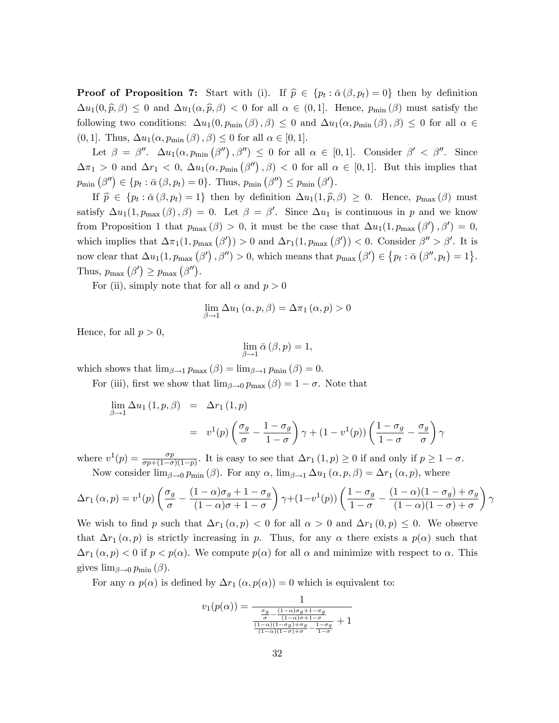**Proof of Proposition 7:** Start with (i). If  $\hat{p} \in \{p_t : \bar{\alpha}(\beta, p_t) = 0\}$  then by definition  $\Delta u_1(0,\hat{p},\beta) \leq 0$  and  $\Delta u_1(\alpha,\hat{p},\beta) < 0$  for all  $\alpha \in (0,1]$ . Hence,  $p_{\min}(\beta)$  must satisfy the following two conditions:  $\Delta u_1(0, p_{\min}(\beta), \beta) \leq 0$  and  $\Delta u_1(\alpha, p_{\min}(\beta), \beta) \leq 0$  for all  $\alpha \in$  $(0, 1]$ . Thus,  $\Delta u_1(\alpha, p_{\min}(\beta), \beta) \leq 0$  for all  $\alpha \in [0, 1]$ .

Let  $\beta = \beta''$ .  $\Delta u_1(\alpha, p_{\min}(\beta''), \beta'') \leq 0$  for all  $\alpha \in [0, 1]$ . Consider  $\beta' < \beta''$ . Since  $\Delta \pi_1 > 0$  and  $\Delta r_1 < 0$ ,  $\Delta u_1(\alpha, p_{\min}(\beta''), \beta) < 0$  for all  $\alpha \in [0, 1]$ . But this implies that  $p_{\min}(\beta'') \in \{p_t : \bar{\alpha}(\beta, p_t) = 0\}.$  Thus,  $p_{\min}(\beta'') \leq p_{\min}(\beta').$ 

If  $\hat{p} \in \{p_t : \bar{\alpha}(\beta, p_t) = 1\}$  then by definition  $\Delta u_1(1, \hat{p}, \beta) \ge 0$ . Hence,  $p_{\max}(\beta)$  must satisfy  $\Delta u_1(1, p_{\max}(\beta), \beta) = 0$ . Let  $\beta = \beta'$ . Since  $\Delta u_1$  is continuous in p and we know from Proposition 1 that  $p_{\text{max}}(\beta) > 0$ , it must be the case that  $\Delta u_1(1, p_{\text{max}}(\beta'), \beta') = 0$ , which implies that  $\Delta \pi_1(1, p_{\max}(\beta')) > 0$  and  $\Delta r_1(1, p_{\max}(\beta')) < 0$ . Consider  $\beta'' > \beta'$ . It is now clear that  $\Delta u_1(1, p_{\max}(\beta'), \beta'') > 0$ , which means that  $p_{\max}(\beta') \in \{p_t : \bar{\alpha}(\beta'', p_t) = 1\}$ . Thus,  $p_{\max}(\beta') \geq p_{\max}(\beta'')$ .

For (ii), simply note that for all  $\alpha$  and  $p > 0$ 

$$
\lim_{\beta \to 1} \Delta u_1(\alpha, p, \beta) = \Delta \pi_1(\alpha, p) > 0
$$

Hence, for all  $p > 0$ ,

$$
\lim_{\beta \to 1} \bar{\alpha} (\beta, p) = 1,
$$

which shows that  $\lim_{\beta \to 1} p_{\max}(\beta) = \lim_{\beta \to 1} p_{\min}(\beta) = 0.$ 

For (iii), first we show that  $\lim_{\beta \to 0} p_{\max}(\beta) = 1 - \sigma$ . Note that

$$
\lim_{\beta \to 1} \Delta u_1(1, p, \beta) = \Delta r_1(1, p)
$$
  
=  $v^1(p) \left( \frac{\sigma_g}{\sigma} - \frac{1 - \sigma_g}{1 - \sigma} \right) \gamma + (1 - v^1(p)) \left( \frac{1 - \sigma_g}{1 - \sigma} - \frac{\sigma_g}{\sigma} \right) \gamma$ 

where  $v^1(p) = \frac{\sigma p}{\sigma p + (1-\sigma)(1-p)}$ . It is easy to see that  $\Delta r_1(1,p) \ge 0$  if and only if  $p \ge 1 - \sigma$ . Now consider  $\lim_{\beta \to 0} p_{\min} (\beta)$ . For any  $\alpha$ ,  $\lim_{\beta \to 1} \Delta u_1 (\alpha, p, \beta) = \Delta r_1 (\alpha, p)$ , where

$$
\Delta r_1(\alpha, p) = v^1(p) \left( \frac{\sigma_g}{\sigma} - \frac{(1-\alpha)\sigma_g + 1 - \sigma_g}{(1-\alpha)\sigma + 1 - \sigma} \right) \gamma + (1 - v^1(p)) \left( \frac{1 - \sigma_g}{1 - \sigma} - \frac{(1-\alpha)(1 - \sigma_g) + \sigma_g}{(1-\alpha)(1-\sigma) + \sigma} \right) \gamma
$$

We wish to find p such that  $\Delta r_1 (\alpha, p) < 0$  for all  $\alpha > 0$  and  $\Delta r_1 (0, p) \leq 0$ . We observe that  $\Delta r_1 (\alpha, p)$  is strictly increasing in p. Thus, for any  $\alpha$  there exists a  $p(\alpha)$  such that  $\Delta r_1(\alpha, p) < 0$  if  $p < p(\alpha)$ . We compute  $p(\alpha)$  for all  $\alpha$  and minimize with respect to  $\alpha$ . This gives  $\lim_{\beta \to 0} p_{\min}(\beta)$ .

For any  $\alpha$   $p(\alpha)$  is defined by  $\Delta r_1(\alpha, p(\alpha)) = 0$  which is equivalent to:

$$
v_1(p(\alpha)) = \frac{1}{\frac{\sigma_g}{\sigma} - \frac{(1-\alpha)\sigma_g + 1 - \sigma_g}{(1-\alpha)(1-\sigma_g) + \sigma_g} + 1}}
$$

$$
\frac{\frac{(1-\alpha)(1-\sigma_g) + \sigma_g}{(1-\alpha)(1-\sigma_g) + \sigma_g} - \frac{1-\sigma_g}{1-\sigma}}{\frac{(1-\alpha)(1-\sigma_g) + \sigma_g}{(1-\sigma_g) + \sigma_g} - \frac{1-\sigma_g}{1-\sigma}}
$$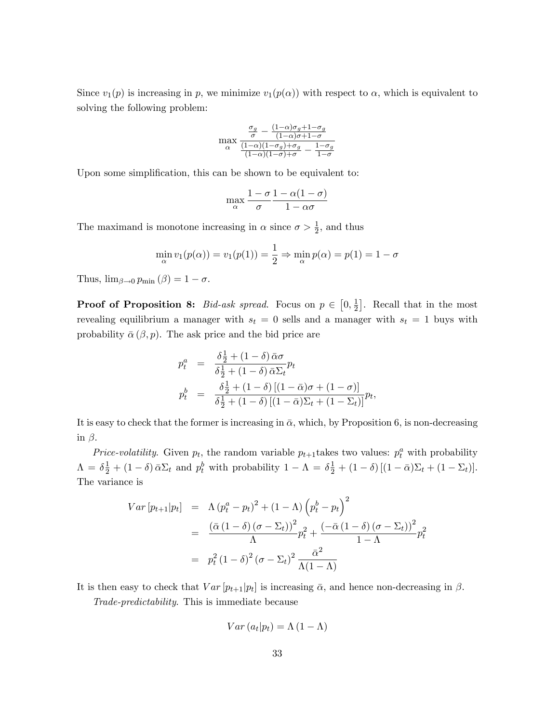Since  $v_1(p)$  is increasing in p, we minimize  $v_1(p(\alpha))$  with respect to  $\alpha$ , which is equivalent to solving the following problem:

$$
\max_{\alpha} \frac{\frac{\sigma_g}{\sigma} - \frac{(1-\alpha)\sigma_g + 1 - \sigma_g}{(1-\alpha)\sigma + 1 - \sigma}}{\frac{(1-\alpha)(1-\sigma_g) + \sigma_g}{(1-\alpha)(1-\sigma) + \sigma} - \frac{1-\sigma_g}{1-\sigma}}
$$

Upon some simplification, this can be shown to be equivalent to:

$$
\max_{\alpha} \frac{1 - \sigma}{\sigma} \frac{1 - \alpha(1 - \sigma)}{1 - \alpha \sigma}
$$

The maximand is monotone increasing in  $\alpha$  since  $\sigma > \frac{1}{2}$ , and thus

$$
\min_{\alpha} v_1(p(\alpha)) = v_1(p(1)) = \frac{1}{2} \Rightarrow \min_{\alpha} p(\alpha) = p(1) = 1 - \sigma
$$

Thus,  $\lim_{\beta \to 0} p_{\min}(\beta) = 1 - \sigma$ .

**Proof of Proposition 8:** Bid-ask spread. Focus on  $p \in [0, \frac{1}{2}]$  $\frac{1}{2}$ . Recall that in the most revealing equilibrium a manager with  $s_t = 0$  sells and a manager with  $s_t = 1$  buys with probability  $\bar{\alpha}(\beta, p)$ . The ask price and the bid price are

$$
p_t^a = \frac{\delta \frac{1}{2} + (1 - \delta) \bar{\alpha} \sigma}{\delta \frac{1}{2} + (1 - \delta) \bar{\alpha} \Sigma_t} p_t
$$
  
\n
$$
p_t^b = \frac{\delta \frac{1}{2} + (1 - \delta) \left[ (1 - \bar{\alpha}) \sigma + (1 - \sigma) \right]}{\delta \frac{1}{2} + (1 - \delta) \left[ (1 - \bar{\alpha}) \Sigma_t + (1 - \Sigma_t) \right]} p_t,
$$

It is easy to check that the former is increasing in  $\bar{\alpha}$ , which, by Proposition 6, is non-decreasing in  $\beta$ .

Price-volatility. Given  $p_t$ , the random variable  $p_{t+1}$  takes two values:  $p_t^a$  with probability  $\Lambda = \delta \frac{1}{2} + (1 - \delta) \bar{\alpha} \Sigma_t$  and  $p_t^b$  with probability  $1 - \Lambda = \delta \frac{1}{2} + (1 - \delta) [(1 - \bar{\alpha}) \Sigma_t + (1 - \Sigma_t)].$ The variance is

$$
Var[p_{t+1}|p_t] = \Lambda (p_t^a - p_t)^2 + (1 - \Lambda) (p_t^b - p_t)^2
$$
  
= 
$$
\frac{(\bar{\alpha}(1 - \delta) (\sigma - \Sigma_t))^2}{\Lambda} p_t^2 + \frac{(-\bar{\alpha}(1 - \delta) (\sigma - \Sigma_t))^2}{1 - \Lambda} p_t^2
$$
  
= 
$$
p_t^2 (1 - \delta)^2 (\sigma - \Sigma_t)^2 \frac{\bar{\alpha}^2}{\Lambda(1 - \Lambda)}
$$

It is then easy to check that  $Var[p_{t+1}|p_t]$  is increasing  $\bar{\alpha}$ , and hence non-decreasing in  $\beta$ .

Trade-predictability. This is immediate because

$$
Var\left(a_t|p_t\right) = \Lambda\left(1 - \Lambda\right)
$$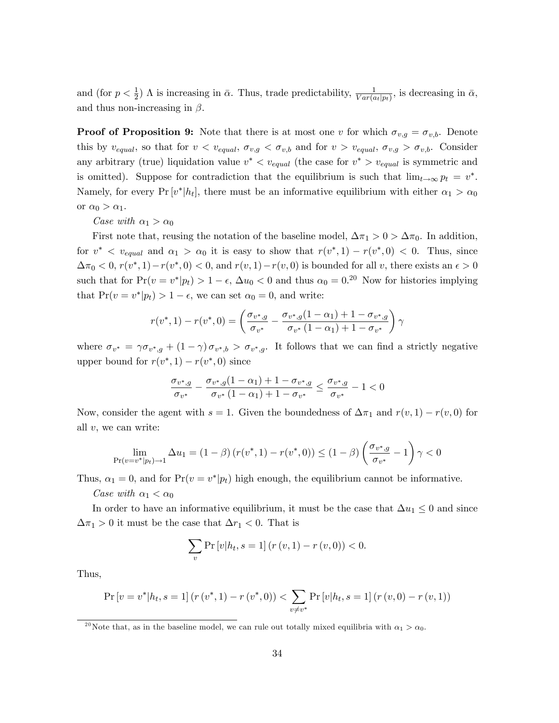and (for  $p < \frac{1}{2}$ ) A is increasing in  $\bar{\alpha}$ . Thus, trade predictability,  $\frac{1}{Var(a_t|p_t)}$ , is decreasing in  $\bar{\alpha}$ , and thus non-increasing in  $\beta$ .

**Proof of Proposition 9:** Note that there is at most one v for which  $\sigma_{v,q} = \sigma_{v,b}$ . Denote this by  $v_{equal}$ , so that for  $v < v_{equal}$ ,  $\sigma_{v,g} < \sigma_{v,b}$  and for  $v > v_{equal}$ ,  $\sigma_{v,g} > \sigma_{v,b}$ . Consider any arbitrary (true) liquidation value  $v^* < v_{equal}$  (the case for  $v^* > v_{equal}$  is symmetric and is omitted). Suppose for contradiction that the equilibrium is such that  $\lim_{t\to\infty} p_t = v^*$ . Namely, for every  $Pr[v^*|h_t]$ , there must be an informative equilibrium with either  $\alpha_1 > \alpha_0$ or  $\alpha_0 > \alpha_1$ .

Case with  $\alpha_1 > \alpha_0$ 

First note that, reusing the notation of the baseline model,  $\Delta \pi_1 > 0 > \Delta \pi_0$ . In addition, for  $v^* < v_{equal}$  and  $\alpha_1 > \alpha_0$  it is easy to show that  $r(v^*, 1) - r(v^*, 0) < 0$ . Thus, since  $\Delta \pi_0 < 0$ ,  $r(v^*, 1) - r(v^*, 0) < 0$ , and  $r(v, 1) - r(v, 0)$  is bounded for all v, there exists an  $\epsilon > 0$ such that for  $Pr(v = v^*|p_t) > 1 - \epsilon$ ,  $\Delta u_0 < 0$  and thus  $\alpha_0 = 0.2^0$  Now for histories implying that  $Pr(v = v^*|p_t) > 1 - \epsilon$ , we can set  $\alpha_0 = 0$ , and write:

$$
r(v^*, 1) - r(v^*, 0) = \left(\frac{\sigma_{v^*,g}}{\sigma_{v^*}} - \frac{\sigma_{v^*,g}(1-\alpha_1) + 1 - \sigma_{v^*,g}}{\sigma_{v^*}(1-\alpha_1) + 1 - \sigma_{v^*}}\right)\gamma
$$

where  $\sigma_{v^*} = \gamma \sigma_{v^*,g} + (1 - \gamma) \sigma_{v^*,b} > \sigma_{v^*,g}$ . It follows that we can find a strictly negative upper bound for  $r(v^*, 1) - r(v^*, 0)$  since

$$
\frac{\sigma_{v^*,g}}{\sigma_{v^*}} - \frac{\sigma_{v^*,g}(1-\alpha_1) + 1 - \sigma_{v^*,g}}{\sigma_{v^*}(1-\alpha_1) + 1 - \sigma_{v^*}} \le \frac{\sigma_{v^*,g}}{\sigma_{v^*}} - 1 < 0
$$

Now, consider the agent with  $s = 1$ . Given the boundedness of  $\Delta \pi_1$  and  $r(v, 1) - r(v, 0)$  for all  $v$ , we can write:

$$
\lim_{\Pr(v=v^*|p_t)\to 1} \Delta u_1 = (1-\beta) \left( r(v^*, 1) - r(v^*, 0) \right) \le (1-\beta) \left( \frac{\sigma_{v^*,g}}{\sigma_{v^*}} - 1 \right) \gamma < 0
$$

Thus,  $\alpha_1 = 0$ , and for  $Pr(v = v^*|p_t)$  high enough, the equilibrium cannot be informative. Case with  $\alpha_1 < \alpha_0$ 

In order to have an informative equilibrium, it must be the case that  $\Delta u_1 \leq 0$  and since  $\Delta \pi_1 > 0$  it must be the case that  $\Delta r_1 < 0$ . That is

$$
\sum_{v} \Pr[v|h_t, s=1] (r(v, 1) - r(v, 0)) < 0.
$$

Thus,

$$
\Pr\left[v = v^* | h_t, s = 1\right] \left(r\left(v^*, 1\right) - r\left(v^*, 0\right)\right) < \sum_{v \neq v^*} \Pr\left[v | h_t, s = 1\right] \left(r\left(v, 0\right) - r\left(v, 1\right)\right)
$$

<sup>&</sup>lt;sup>20</sup> Note that, as in the baseline model, we can rule out totally mixed equilibria with  $\alpha_1 > \alpha_0$ .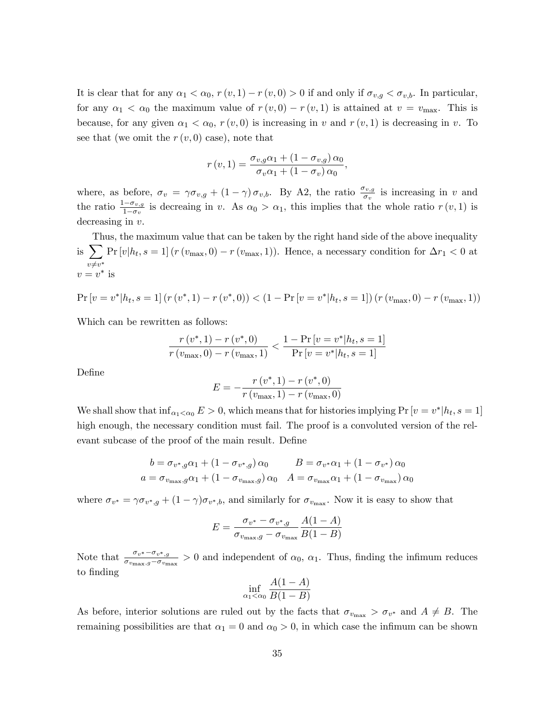It is clear that for any  $\alpha_1 < \alpha_0$ ,  $r(v, 1) - r(v, 0) > 0$  if and only if  $\sigma_{v,g} < \sigma_{v,b}$ . In particular, for any  $\alpha_1 < \alpha_0$  the maximum value of  $r(v, 0) - r(v, 1)$  is attained at  $v = v_{\text{max}}$ . This is because, for any given  $\alpha_1 < \alpha_0$ ,  $r(v, 0)$  is increasing in v and  $r(v, 1)$  is decreasing in v. To see that (we omit the  $r(v, 0)$  case), note that

$$
r(v, 1) = \frac{\sigma_{v,g}\alpha_1 + (1 - \sigma_{v,g})\alpha_0}{\sigma_v\alpha_1 + (1 - \sigma_v)\alpha_0},
$$

where, as before,  $\sigma_v = \gamma \sigma_{v,g} + (1 - \gamma) \sigma_{v,b}$ . By A2, the ratio  $\frac{\sigma_{v,g}}{\sigma_v}$  is increasing in v and the ratio  $\frac{1-\sigma_{v,g}}{1-\sigma_v}$  is decreaing in v. As  $\alpha_0 > \alpha_1$ , this implies that the whole ratio  $r(v,1)$  is decreasing in v.

Thus, the maximum value that can be taken by the right hand side of the above inequality  $is \sum$  $v \neq v^*$  $Pr[v|h_t, s = 1]$  (r ( $v_{\text{max}}, 0$ ) – r ( $v_{\text{max}}, 1$ )). Hence, a necessary condition for  $\Delta r_1 < 0$  at  $v=v^*$  is

$$
Pr[v = v^* | h_t, s = 1] (r(v^*, 1) - r(v^*, 0)) < (1 - Pr[v = v^* | h_t, s = 1]) (r(v_{\max}, 0) - r(v_{\max}, 1))
$$

Which can be rewritten as follows:

$$
\frac{r(v^*,1) - r(v^*,0)}{r(v_{\max},0) - r(v_{\max},1)} < \frac{1 - \Pr[v = v^* | h_t, s = 1]}{\Pr[v = v^* | h_t, s = 1]}
$$

DeÖne

$$
E = -\frac{r(v^*, 1) - r(v^*, 0)}{r(v_{\text{max}}, 1) - r(v_{\text{max}}, 0)}
$$

We shall show that  $\inf_{\alpha_1<\alpha_0} E>0$ , which means that for histories implying Pr  $[v = v^*|h_t, s = 1]$ high enough, the necessary condition must fail. The proof is a convoluted version of the relevant subcase of the proof of the main result. Define

$$
b = \sigma_{v^*,g} \alpha_1 + (1 - \sigma_{v^*,g}) \alpha_0 \qquad B = \sigma_{v^*} \alpha_1 + (1 - \sigma_{v^*}) \alpha_0
$$
  

$$
a = \sigma_{v_{\text{max},g}} \alpha_1 + (1 - \sigma_{v_{\text{max},g}}) \alpha_0 \qquad A = \sigma_{v_{\text{max}}} \alpha_1 + (1 - \sigma_{v_{\text{max}}}) \alpha_0
$$

where  $\sigma_{v^*} = \gamma \sigma_{v^*,g} + (1 - \gamma) \sigma_{v^*,g}$ , and similarly for  $\sigma_{v_{\text{max}}}$ . Now it is easy to show that

$$
E = \frac{\sigma_{v^*} - \sigma_{v^*,g}}{\sigma_{v_{\text{max}},g} - \sigma_{v_{\text{max}}}} \frac{A(1-A)}{B(1-B)}
$$

Note that  $\frac{\sigma_{v^*}-\sigma_{v^*,g}}{\sigma_{v_{\max},g}-\sigma_{v_{\max}}} > 0$  and independent of  $\alpha_0$ ,  $\alpha_1$ . Thus, finding the infimum reduces to finding

$$
\inf_{\alpha_1 < \alpha_0} \frac{A(1-A)}{B(1-B)}
$$

As before, interior solutions are ruled out by the facts that  $\sigma_{v_{\text{max}}} > \sigma_{v^*}$  and  $A \neq B$ . The remaining possibilities are that  $\alpha_1 = 0$  and  $\alpha_0 > 0$ , in which case the infimum can be shown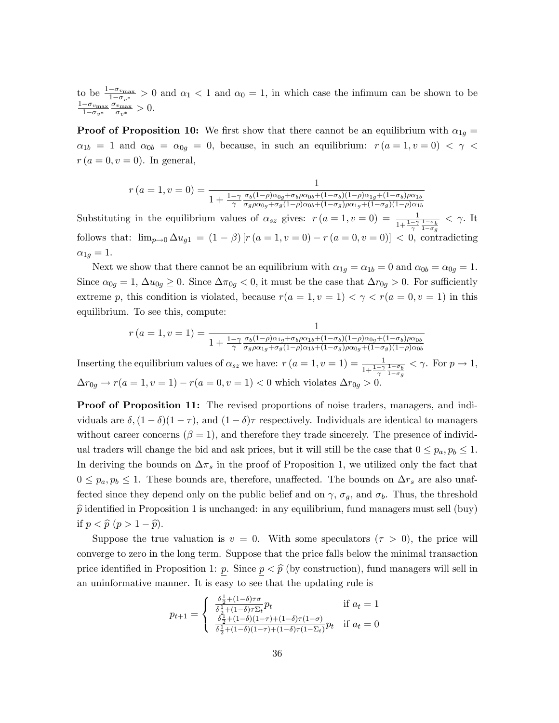to be  $\frac{1-\sigma_{v_{\text{max}}}}{1-\sigma_{v^*}} > 0$  and  $\alpha_1 < 1$  and  $\alpha_0 = 1$ , in which case the infimum can be shown to be  $\frac{1-\sigma_{v_{\text{max}}}}{1-\sigma_{v_{\text{max}}}} > 0$ .  $1-\sigma_v*$  $\frac{\sigma_{v_{\max}}}{\sigma_{v^*}} > 0.$ 

**Proof of Proposition 10:** We first show that there cannot be an equilibrium with  $\alpha_{1g} =$  $\alpha_{1b} = 1$  and  $\alpha_{0b} = \alpha_{0g} = 0$ , because, in such an equilibrium:  $r(a=1, v=0) < \gamma <$  $r (a = 0, v = 0)$ . In general,

$$
r(a = 1, v = 0) = \frac{1}{1 + \frac{1 - \gamma \sigma_b (1 - \rho) \alpha_{0g} + \sigma_b \rho \alpha_{0b} + (1 - \sigma_b)(1 - \rho) \alpha_{1g} + (1 - \sigma_b) \rho \alpha_{1b}}{\sigma_g \rho \alpha_{0g} + \sigma_g (1 - \rho) \alpha_{0b} + (1 - \sigma_g) \rho \alpha_{1g} + (1 - \sigma_g)(1 - \rho) \alpha_{1b}}}
$$

Substituting in the equilibrium values of  $\alpha_{sz}$  gives:  $r(a=1, v=0) = \frac{1}{1+\frac{1-\gamma}{\gamma}\frac{1-\sigma_b}{1-\sigma_g}}$  $< \gamma$ . It follows that:  $\lim_{p\to 0} \Delta u_{g1} = (1 - \beta) [r (a = 1, v = 0) - r (a = 0, v = 0)] < 0$ , contradicting  $\alpha_{1g} = 1.$ 

Next we show that there cannot be an equilibrium with  $\alpha_{1g} = \alpha_{1b} = 0$  and  $\alpha_{0b} = \alpha_{0g} = 1$ . Since  $\alpha_{0g} = 1$ ,  $\Delta u_{0g} \ge 0$ . Since  $\Delta \pi_{0g} < 0$ , it must be the case that  $\Delta r_{0g} > 0$ . For sufficiently extreme p, this condition is violated, because  $r(a = 1, v = 1) < \gamma < r(a = 0, v = 1)$  in this equilibrium. To see this, compute:

$$
r(a = 1, v = 1) = \frac{1}{1 + \frac{1 - \gamma \sigma_b(1 - \rho)\alpha_{1g} + \sigma_b \rho \alpha_{1b} + (1 - \sigma_b)(1 - \rho)\alpha_{0g} + (1 - \sigma_b)\rho \alpha_{0b}}{\sigma_g \rho \alpha_{1g} + \sigma_g(1 - \rho)\alpha_{1b} + (1 - \sigma_g)\rho \alpha_{0g} + (1 - \sigma_g)(1 - \rho)\alpha_{0b}}}
$$

Inserting the equilibrium values of  $\alpha_{sz}$  we have:  $r(a=1, v=1) = \frac{1}{1 + \frac{1-\gamma}{\gamma} \frac{1-\sigma_b}{1-\sigma_g}} < \gamma$ . For  $p \to 1$ ,  $\Delta r_{0g} \to r(a = 1, v = 1) - r(a = 0, v = 1) < 0$  which violates  $\Delta r_{0g} > 0$ .

Proof of Proposition 11: The revised proportions of noise traders, managers, and individuals are  $\delta$ ,  $(1 - \delta)(1 - \tau)$ , and  $(1 - \delta)\tau$  respectively. Individuals are identical to managers without career concerns  $(\beta = 1)$ , and therefore they trade sincerely. The presence of individual traders will change the bid and ask prices, but it will still be the case that  $0 \leq p_a, p_b \leq 1$ . In deriving the bounds on  $\Delta \pi_s$  in the proof of Proposition 1, we utilized only the fact that  $0 \leq p_a, p_b \leq 1$ . These bounds are, therefore, unaffected. The bounds on  $\Delta r_s$  are also unaffected since they depend only on the public belief and on  $\gamma$ ,  $\sigma_g$ , and  $\sigma_b$ . Thus, the threshold  $\hat{p}$  identified in Proposition 1 is unchanged: in any equilibrium, fund managers must sell (buy) if  $p < \widehat{p}$   $(p > 1 - \widehat{p})$ .

Suppose the true valuation is  $v = 0$ . With some speculators  $(\tau > 0)$ , the price will converge to zero in the long term. Suppose that the price falls below the minimal transaction price identified in Proposition 1: p. Since  $p < \hat{p}$  (by construction), fund managers will sell in an uninformative manner. It is easy to see that the updating rule is

$$
p_{t+1} = \begin{cases} \n\frac{\delta \frac{1}{2} + (1-\delta)\tau\sigma}{\delta \frac{1}{2} + (1-\delta)\tau \Sigma_t} p_t & \text{if } a_t = 1 \\
\frac{\delta \frac{1}{2} + (1-\delta)(1-\tau) + (1-\delta)\tau(1-\sigma)}{\delta \frac{1}{2} + (1-\delta)(1-\tau) + (1-\delta)\tau(1-\Sigma_t)} p_t & \text{if } a_t = 0\n\end{cases}
$$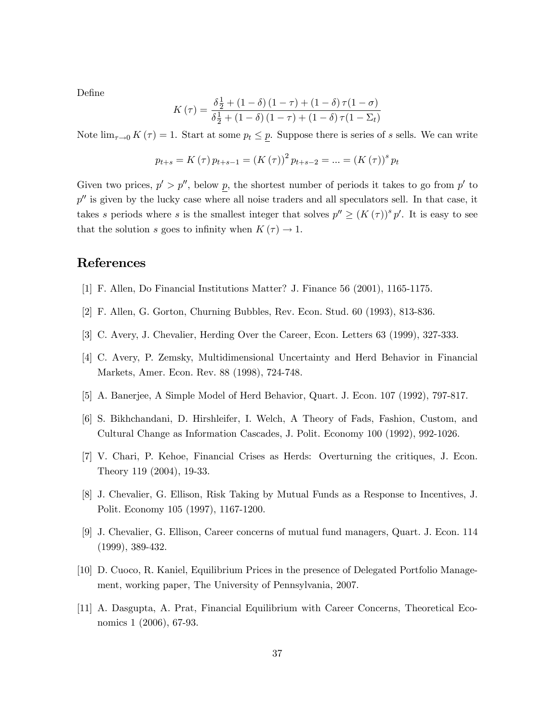DeÖne

$$
K(\tau) = \frac{\delta \frac{1}{2} + (1 - \delta) (1 - \tau) + (1 - \delta) \tau (1 - \sigma)}{\delta \frac{1}{2} + (1 - \delta) (1 - \tau) + (1 - \delta) \tau (1 - \Sigma_t)}
$$

Note  $\lim_{\tau \to 0} K(\tau) = 1$ . Start at some  $p_t \leq p$ . Suppose there is series of s sells. We can write

$$
p_{t+s} = K(\tau) p_{t+s-1} = (K(\tau))^2 p_{t+s-2} = ... = (K(\tau))^s p_t
$$

Given two prices,  $p' > p''$ , below p, the shortest number of periods it takes to go from p' to  $p''$  is given by the lucky case where all noise traders and all speculators sell. In that case, it takes s periods where s is the smallest integer that solves  $p'' \ge (K(\tau))^s p'$ . It is easy to see that the solution s goes to infinity when  $K(\tau) \to 1$ .

# References

- [1] F. Allen, Do Financial Institutions Matter? J. Finance 56 (2001), 1165-1175.
- [2] F. Allen, G. Gorton, Churning Bubbles, Rev. Econ. Stud. 60 (1993), 813-836.
- [3] C. Avery, J. Chevalier, Herding Over the Career, Econ. Letters 63 (1999), 327-333.
- [4] C. Avery, P. Zemsky, Multidimensional Uncertainty and Herd Behavior in Financial Markets, Amer. Econ. Rev. 88 (1998), 724-748.
- [5] A. Banerjee, A Simple Model of Herd Behavior, Quart. J. Econ. 107 (1992), 797-817.
- [6] S. Bikhchandani, D. Hirshleifer, I. Welch, A Theory of Fads, Fashion, Custom, and Cultural Change as Information Cascades, J. Polit. Economy 100 (1992), 992-1026.
- [7] V. Chari, P. Kehoe, Financial Crises as Herds: Overturning the critiques, J. Econ. Theory 119 (2004), 19-33.
- [8] J. Chevalier, G. Ellison, Risk Taking by Mutual Funds as a Response to Incentives, J. Polit. Economy 105 (1997), 1167-1200.
- [9] J. Chevalier, G. Ellison, Career concerns of mutual fund managers, Quart. J. Econ. 114 (1999), 389-432.
- [10] D. Cuoco, R. Kaniel, Equilibrium Prices in the presence of Delegated Portfolio Management, working paper, The University of Pennsylvania, 2007.
- [11] A. Dasgupta, A. Prat, Financial Equilibrium with Career Concerns, Theoretical Economics 1 (2006), 67-93.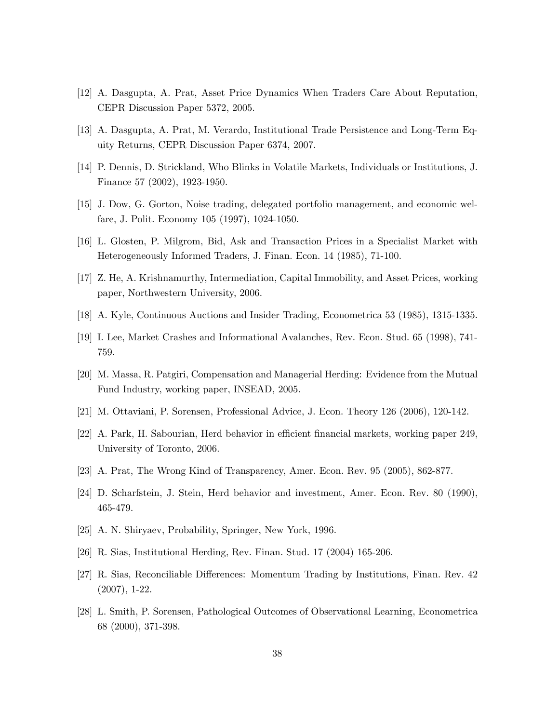- [12] A. Dasgupta, A. Prat, Asset Price Dynamics When Traders Care About Reputation, CEPR Discussion Paper 5372, 2005.
- [13] A. Dasgupta, A. Prat, M. Verardo, Institutional Trade Persistence and Long-Term Equity Returns, CEPR Discussion Paper 6374, 2007.
- [14] P. Dennis, D. Strickland, Who Blinks in Volatile Markets, Individuals or Institutions, J. Finance 57 (2002), 1923-1950.
- [15] J. Dow, G. Gorton, Noise trading, delegated portfolio management, and economic welfare, J. Polit. Economy 105 (1997), 1024-1050.
- [16] L. Glosten, P. Milgrom, Bid, Ask and Transaction Prices in a Specialist Market with Heterogeneously Informed Traders, J. Finan. Econ. 14 (1985), 71-100.
- [17] Z. He, A. Krishnamurthy, Intermediation, Capital Immobility, and Asset Prices, working paper, Northwestern University, 2006.
- [18] A. Kyle, Continuous Auctions and Insider Trading, Econometrica 53 (1985), 1315-1335.
- [19] I. Lee, Market Crashes and Informational Avalanches, Rev. Econ. Stud. 65 (1998), 741- 759.
- [20] M. Massa, R. Patgiri, Compensation and Managerial Herding: Evidence from the Mutual Fund Industry, working paper, INSEAD, 2005.
- [21] M. Ottaviani, P. Sorensen, Professional Advice, J. Econ. Theory 126 (2006), 120-142.
- [22] A. Park, H. Sabourian, Herd behavior in efficient financial markets, working paper 249, University of Toronto, 2006.
- [23] A. Prat, The Wrong Kind of Transparency, Amer. Econ. Rev. 95 (2005), 862-877.
- [24] D. Scharfstein, J. Stein, Herd behavior and investment, Amer. Econ. Rev. 80 (1990), 465-479.
- [25] A. N. Shiryaev, Probability, Springer, New York, 1996.
- [26] R. Sias, Institutional Herding, Rev. Finan. Stud. 17 (2004) 165-206.
- [27] R. Sias, Reconciliable Differences: Momentum Trading by Institutions, Finan. Rev. 42 (2007), 1-22.
- [28] L. Smith, P. Sorensen, Pathological Outcomes of Observational Learning, Econometrica 68 (2000), 371-398.